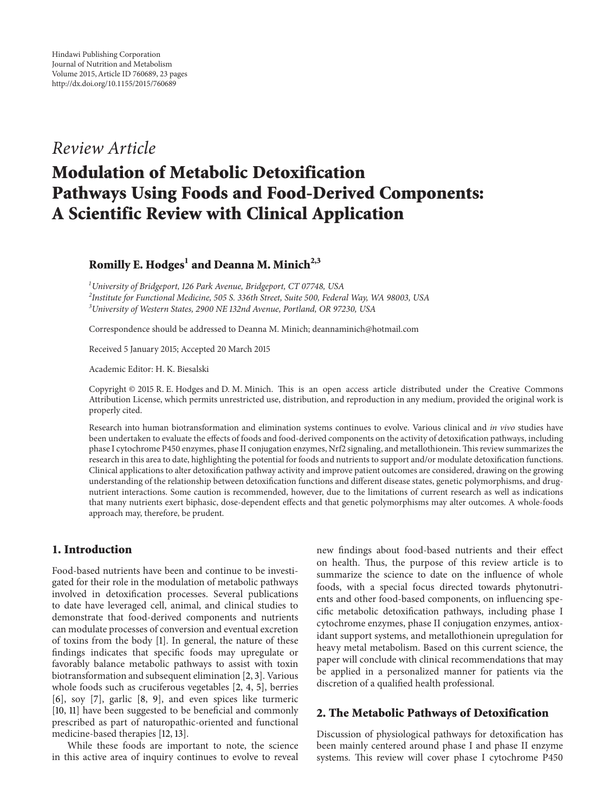## *Review Article*

# **Modulation of Metabolic Detoxification Pathways Using Foods and Food-Derived Components: A Scientific Review with Clinical Application**

## Romilly E. Hodges<sup>1</sup> and Deanna M. Minich<sup>2,3</sup>

*1 University of Bridgeport, 126 Park Avenue, Bridgeport, CT 07748, USA 2 Institute for Functional Medicine, 505 S. 336th Street, Suite 500, Federal Way, WA 98003, USA 3 University of Western States, 2900 NE 132nd Avenue, Portland, OR 97230, USA*

Correspondence should be addressed to Deanna M. Minich; deannaminich@hotmail.com

Received 5 January 2015; Accepted 20 March 2015

Academic Editor: H. K. Biesalski

Copyright © 2015 R. E. Hodges and D. M. Minich. This is an open access article distributed under the Creative Commons Attribution License, which permits unrestricted use, distribution, and reproduction in any medium, provided the original work is properly cited.

Research into human biotransformation and elimination systems continues to evolve. Various clinical and *in vivo* studies have been undertaken to evaluate the effects of foods and food-derived components on the activity of detoxification pathways, including phase I cytochrome P450 enzymes, phase II conjugation enzymes, Nrf2 signaling, and metallothionein.This review summarizes the research in this area to date, highlighting the potential for foods and nutrients to support and/or modulate detoxification functions. Clinical applications to alter detoxification pathway activity and improve patient outcomes are considered, drawing on the growing understanding of the relationship between detoxification functions and different disease states, genetic polymorphisms, and drugnutrient interactions. Some caution is recommended, however, due to the limitations of current research as well as indications that many nutrients exert biphasic, dose-dependent effects and that genetic polymorphisms may alter outcomes. A whole-foods approach may, therefore, be prudent.

## **1. Introduction**

Food-based nutrients have been and continue to be investigated for their role in the modulation of metabolic pathways involved in detoxification processes. Several publications to date have leveraged cell, animal, and clinical studies to demonstrate that food-derived components and nutrients can modulate processes of conversion and eventual excretion of toxins from the body [1]. In general, the nature of these findings indicates that specific foods may upregulate or favorably balance metabolic pathways to assist with toxin biotransformation and subsequent elimination [2, 3]. Various whole foods such as cruciferous vegetables [2, 4, 5], berries [6], soy [7], garlic [8, 9], and even spices like turmeric [10, 11] have been suggested to be beneficial and commonly prescribed as part of naturopathic-oriented and functional medicine-based therapies [12, 13].

While these foods are important to note, the science in this active area of inquiry continues to evolve to reveal

new findings about food-based nutrients and their effect on health. Thus, the purpose of this review article is to summarize the science to date on the influence of whole foods, with a special focus directed towards phytonutrients and other food-based components, on influencing specific metabolic detoxification pathways, including phase I cytochrome enzymes, phase II conjugation enzymes, antioxidant support systems, and metallothionein upregulation for heavy metal metabolism. Based on this current science, the paper will conclude with clinical recommendations that may be applied in a personalized manner for patients via the discretion of a qualified health professional.

#### **2. The Metabolic Pathways of Detoxification**

Discussion of physiological pathways for detoxification has been mainly centered around phase I and phase II enzyme systems. This review will cover phase I cytochrome P450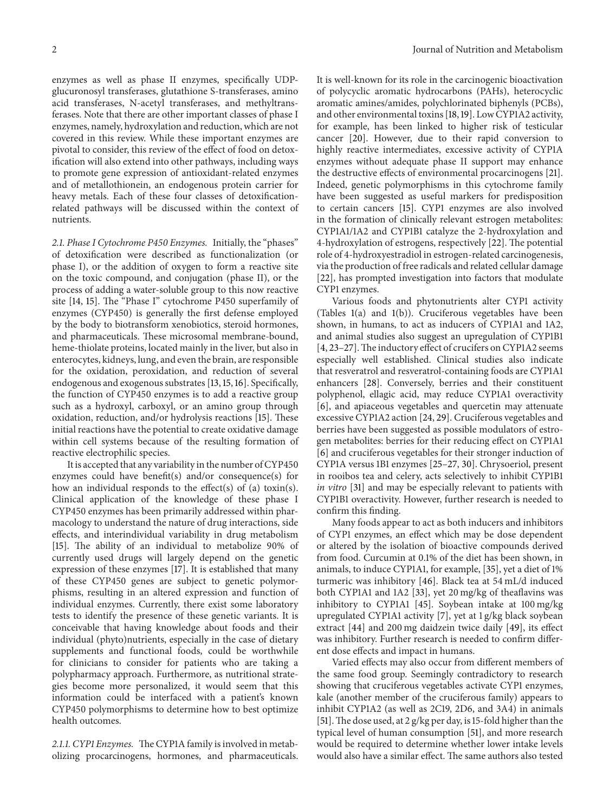enzymes as well as phase II enzymes, specifically UDPglucuronosyl transferases, glutathione S-transferases, amino acid transferases, N-acetyl transferases, and methyltransferases. Note that there are other important classes of phase I enzymes, namely, hydroxylation and reduction, which are not covered in this review. While these important enzymes are pivotal to consider, this review of the effect of food on detoxification will also extend into other pathways, including ways to promote gene expression of antioxidant-related enzymes and of metallothionein, an endogenous protein carrier for heavy metals. Each of these four classes of detoxificationrelated pathways will be discussed within the context of nutrients.

*2.1. Phase I Cytochrome P450 Enzymes.* Initially, the "phases" of detoxification were described as functionalization (or phase I), or the addition of oxygen to form a reactive site on the toxic compound, and conjugation (phase II), or the process of adding a water-soluble group to this now reactive site [14, 15]. The "Phase I" cytochrome P450 superfamily of enzymes (CYP450) is generally the first defense employed by the body to biotransform xenobiotics, steroid hormones, and pharmaceuticals. These microsomal membrane-bound, heme-thiolate proteins, located mainly in the liver, but also in enterocytes, kidneys, lung, and even the brain, are responsible for the oxidation, peroxidation, and reduction of several endogenous and exogenous substrates [13,15,16]. Specifically, the function of CYP450 enzymes is to add a reactive group such as a hydroxyl, carboxyl, or an amino group through oxidation, reduction, and/or hydrolysis reactions [15]. These initial reactions have the potential to create oxidative damage within cell systems because of the resulting formation of reactive electrophilic species.

It is accepted that any variability in the number of CYP450 enzymes could have benefit(s) and/or consequence(s) for how an individual responds to the effect(s) of (a) toxin(s). Clinical application of the knowledge of these phase I CYP450 enzymes has been primarily addressed within pharmacology to understand the nature of drug interactions, side effects, and interindividual variability in drug metabolism [15]. The ability of an individual to metabolize 90% of currently used drugs will largely depend on the genetic expression of these enzymes [17]. It is established that many of these CYP450 genes are subject to genetic polymorphisms, resulting in an altered expression and function of individual enzymes. Currently, there exist some laboratory tests to identify the presence of these genetic variants. It is conceivable that having knowledge about foods and their individual (phyto)nutrients, especially in the case of dietary supplements and functional foods, could be worthwhile for clinicians to consider for patients who are taking a polypharmacy approach. Furthermore, as nutritional strategies become more personalized, it would seem that this information could be interfaced with a patient's known CYP450 polymorphisms to determine how to best optimize health outcomes.

*2.1.1. CYP1 Enzymes.* The CYP1A family is involved in metabolizing procarcinogens, hormones, and pharmaceuticals. It is well-known for its role in the carcinogenic bioactivation of polycyclic aromatic hydrocarbons (PAHs), heterocyclic aromatic amines/amides, polychlorinated biphenyls (PCBs), and other environmental toxins [18,19]. Low CYP1A2 activity, for example, has been linked to higher risk of testicular cancer [20]. However, due to their rapid conversion to highly reactive intermediates, excessive activity of CYP1A enzymes without adequate phase II support may enhance the destructive effects of environmental procarcinogens [21]. Indeed, genetic polymorphisms in this cytochrome family have been suggested as useful markers for predisposition to certain cancers [15]. CYP1 enzymes are also involved in the formation of clinically relevant estrogen metabolites: CYP1A1/1A2 and CYP1B1 catalyze the 2-hydroxylation and 4-hydroxylation of estrogens, respectively [22]. The potential role of 4-hydroxyestradiol in estrogen-related carcinogenesis, via the production of free radicals and related cellular damage [22], has prompted investigation into factors that modulate CYP1 enzymes.

Various foods and phytonutrients alter CYP1 activity (Tables 1(a) and 1(b)). Cruciferous vegetables have been shown, in humans, to act as inducers of CYP1A1 and 1A2, and animal studies also suggest an upregulation of CYP1B1 [4, 23-27]. The inductory effect of crucifers on CYP1A2 seems especially well established. Clinical studies also indicate that resveratrol and resveratrol-containing foods are CYP1A1 enhancers [28]. Conversely, berries and their constituent polyphenol, ellagic acid, may reduce CYP1A1 overactivity [6], and apiaceous vegetables and quercetin may attenuate excessive CYP1A2 action [24, 29]. Cruciferous vegetables and berries have been suggested as possible modulators of estrogen metabolites: berries for their reducing effect on CYP1A1 [6] and cruciferous vegetables for their stronger induction of CYP1A versus 1B1 enzymes [25–27, 30]. Chrysoeriol, present in rooibos tea and celery, acts selectively to inhibit CYP1B1 *in vitro* [31] and may be especially relevant to patients with CYP1B1 overactivity. However, further research is needed to confirm this finding.

Many foods appear to act as both inducers and inhibitors of CYP1 enzymes, an effect which may be dose dependent or altered by the isolation of bioactive compounds derived from food. Curcumin at 0.1% of the diet has been shown, in animals, to induce CYP1A1, for example, [35], yet a diet of 1% turmeric was inhibitory [46]. Black tea at 54 mL/d induced both CYP1A1 and 1A2 [33], yet 20 mg/kg of theaflavins was inhibitory to CYP1A1 [45]. Soybean intake at 100 mg/kg upregulated CYP1A1 activity [7], yet at 1 g/kg black soybean extract [44] and 200 mg daidzein twice daily [49], its effect was inhibitory. Further research is needed to confirm different dose effects and impact in humans.

Varied effects may also occur from different members of the same food group. Seemingly contradictory to research showing that cruciferous vegetables activate CYP1 enzymes, kale (another member of the cruciferous family) appears to inhibit CYP1A2 (as well as 2C19, 2D6, and 3A4) in animals [51].The dose used, at 2 g/kg per day, is 15-fold higher than the typical level of human consumption [51], and more research would be required to determine whether lower intake levels would also have a similar effect. The same authors also tested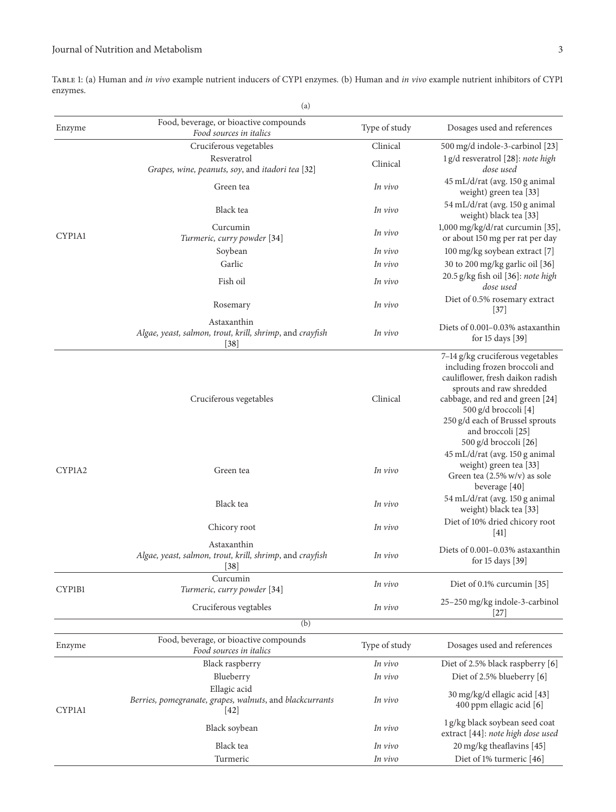## Journal of Nutrition and Metabolism 3

Table 1: (a) Human and *in vivo* example nutrient inducers of CYP1 enzymes. (b) Human and *in vivo* example nutrient inhibitors of CYP1 enzymes.

|        | (a)                                                                                |               |                                                                                                                                                                                                                                                                               |
|--------|------------------------------------------------------------------------------------|---------------|-------------------------------------------------------------------------------------------------------------------------------------------------------------------------------------------------------------------------------------------------------------------------------|
| Enzyme | Food, beverage, or bioactive compounds<br>Food sources in italics                  | Type of study | Dosages used and references                                                                                                                                                                                                                                                   |
|        | Cruciferous vegetables                                                             | Clinical      | 500 mg/d indole-3-carbinol [23]                                                                                                                                                                                                                                               |
|        | Resveratrol<br>Grapes, wine, peanuts, soy, and itadori tea [32]                    | Clinical      | 1 g/d resveratrol [28]: note high<br>dose used                                                                                                                                                                                                                                |
|        | Green tea                                                                          | In vivo       | 45 mL/d/rat (avg. 150 g animal<br>weight) green tea [33]                                                                                                                                                                                                                      |
|        | Black tea                                                                          | In vivo       | 54 mL/d/rat (avg. 150 g animal<br>weight) black tea [33]                                                                                                                                                                                                                      |
| CYP1A1 | Curcumin<br>Turmeric, curry powder [34]                                            | In vivo       | 1,000 mg/kg/d/rat curcumin [35],<br>or about 150 mg per rat per day                                                                                                                                                                                                           |
|        | Soybean                                                                            | In vivo       | 100 mg/kg soybean extract [7]                                                                                                                                                                                                                                                 |
|        | Garlic                                                                             | In vivo       | 30 to 200 mg/kg garlic oil [36]                                                                                                                                                                                                                                               |
|        | Fish oil                                                                           | In vivo       | 20.5 g/kg fish oil [36]: note high<br>dose used                                                                                                                                                                                                                               |
|        | Rosemary                                                                           | In vivo       | Diet of 0.5% rosemary extract<br>$[37]$                                                                                                                                                                                                                                       |
|        | Astaxanthin<br>Algae, yeast, salmon, trout, krill, shrimp, and crayfish<br>$[38]$  | In vivo       | Diets of 0.001–0.03% astaxanthin<br>for 15 days [39]                                                                                                                                                                                                                          |
|        | Cruciferous vegetables                                                             | Clinical      | 7-14 g/kg cruciferous vegetables<br>including frozen broccoli and<br>cauliflower, fresh daikon radish<br>sprouts and raw shredded<br>cabbage, and red and green [24]<br>500 g/d broccoli [4]<br>250 g/d each of Brussel sprouts<br>and broccoli [25]<br>500 g/d broccoli [26] |
| CYP1A2 | Green tea<br>In vivo                                                               |               | 45 mL/d/rat (avg. 150 g animal<br>weight) green tea [33]<br>Green tea (2.5% w/v) as sole<br>beverage [40]                                                                                                                                                                     |
|        | Black tea                                                                          | In vivo       | 54 mL/d/rat (avg. 150 g animal<br>weight) black tea [33]                                                                                                                                                                                                                      |
|        | Chicory root                                                                       | In vivo       | Diet of 10% dried chicory root<br>$[41]$                                                                                                                                                                                                                                      |
|        | Astaxanthin<br>Algae, yeast, salmon, trout, krill, shrimp, and crayfish<br>$[38]$  | In vivo       | Diets of 0.001-0.03% astaxanthin<br>for 15 days [39]                                                                                                                                                                                                                          |
| CYP1B1 | Curcumin<br>Turmeric, curry powder [34]                                            | In vivo       | Diet of 0.1% curcumin [35]                                                                                                                                                                                                                                                    |
|        | Cruciferous vegtables                                                              | In vivo       | 25-250 mg/kg indole-3-carbinol<br>$[27]$                                                                                                                                                                                                                                      |
|        | (b)                                                                                |               |                                                                                                                                                                                                                                                                               |
| Enzyme | Food, beverage, or bioactive compounds<br>Food sources in italics                  | Type of study | Dosages used and references                                                                                                                                                                                                                                                   |
|        | Black raspberry                                                                    | In vivo       | Diet of 2.5% black raspberry [6]                                                                                                                                                                                                                                              |
|        | Blueberry                                                                          | In vivo       | Diet of 2.5% blueberry [6]                                                                                                                                                                                                                                                    |
| CYP1A1 | Ellagic acid<br>Berries, pomegranate, grapes, walnuts, and blackcurrants<br>$[42]$ | In vivo       | 30 mg/kg/d ellagic acid [43]<br>400 ppm ellagic acid [6]                                                                                                                                                                                                                      |
|        | Black soybean                                                                      | In vivo       | 1g/kg black soybean seed coat<br>extract [44]: note high dose used                                                                                                                                                                                                            |
|        | Black tea                                                                          | In vivo       | 20 mg/kg theaflavins [45]                                                                                                                                                                                                                                                     |
|        | Turmeric                                                                           | In vivo       | Diet of 1% turmeric [46]                                                                                                                                                                                                                                                      |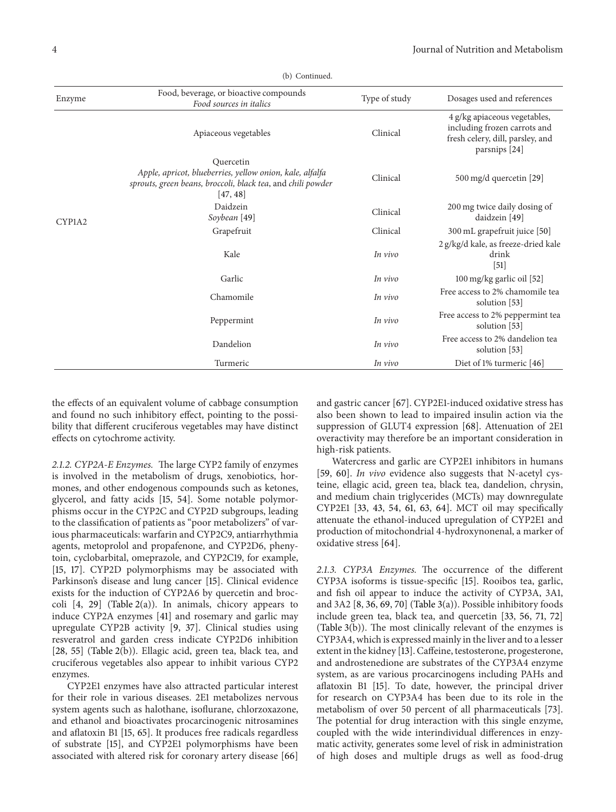| Enzyme                                                   | Food, beverage, or bioactive compounds<br>Food sources in italics                                                                                | Type of study                | Dosages used and references                                                                                       |  |  |
|----------------------------------------------------------|--------------------------------------------------------------------------------------------------------------------------------------------------|------------------------------|-------------------------------------------------------------------------------------------------------------------|--|--|
|                                                          | Apiaceous vegetables                                                                                                                             | Clinical                     | 4 g/kg apiaceous vegetables,<br>including frozen carrots and<br>fresh celery, dill, parsley, and<br>parsnips [24] |  |  |
|                                                          | Quercetin<br>Apple, apricot, blueberries, yellow onion, kale, alfalfa<br>sprouts, green beans, broccoli, black tea, and chili powder<br>[47, 48] | Clinical                     | 500 mg/d quercetin [29]                                                                                           |  |  |
| Daidzein<br>Soybean [49]<br>CYP1A2<br>Grapefruit<br>Kale |                                                                                                                                                  | Clinical                     | 200 mg twice daily dosing of<br>daidzein [49]                                                                     |  |  |
|                                                          | Clinical                                                                                                                                         | 300 mL grapefruit juice [50] |                                                                                                                   |  |  |
|                                                          |                                                                                                                                                  | In vivo                      | 2 g/kg/d kale, as freeze-dried kale<br>drink<br>$[51]$                                                            |  |  |
|                                                          | Garlic                                                                                                                                           | In vivo                      | 100 mg/kg garlic oil [52]                                                                                         |  |  |
|                                                          | Chamomile                                                                                                                                        | In vivo                      | Free access to 2% chamomile tea<br>solution [53]                                                                  |  |  |
|                                                          | Peppermint                                                                                                                                       | In vivo                      | Free access to 2% peppermint tea<br>solution [53]                                                                 |  |  |
|                                                          | Dandelion                                                                                                                                        | In vivo                      | Free access to 2% dandelion tea<br>solution $[53]$                                                                |  |  |
|                                                          | Turmeric                                                                                                                                         | In vivo                      | Diet of 1% turmeric [46]                                                                                          |  |  |

(b) Continued.

the effects of an equivalent volume of cabbage consumption and found no such inhibitory effect, pointing to the possibility that different cruciferous vegetables may have distinct effects on cytochrome activity.

*2.1.2. CYP2A-E Enzymes.* The large CYP2 family of enzymes is involved in the metabolism of drugs, xenobiotics, hormones, and other endogenous compounds such as ketones, glycerol, and fatty acids [15, 54]. Some notable polymorphisms occur in the CYP2C and CYP2D subgroups, leading to the classification of patients as "poor metabolizers" of various pharmaceuticals: warfarin and CYP2C9, antiarrhythmia agents, metoprolol and propafenone, and CYP2D6, phenytoin, cyclobarbital, omeprazole, and CYP2C19, for example, [15, 17]. CYP2D polymorphisms may be associated with Parkinson's disease and lung cancer [15]. Clinical evidence exists for the induction of CYP2A6 by quercetin and broccoli  $[4, 29]$  (Table 2(a)). In animals, chicory appears to induce CYP2A enzymes [41] and rosemary and garlic may upregulate CYP2B activity [9, 37]. Clinical studies using resveratrol and garden cress indicate CYP2D6 inhibition [28, 55] (Table 2(b)). Ellagic acid, green tea, black tea, and cruciferous vegetables also appear to inhibit various CYP2 enzymes.

CYP2E1 enzymes have also attracted particular interest for their role in various diseases. 2E1 metabolizes nervous system agents such as halothane, isoflurane, chlorzoxazone, and ethanol and bioactivates procarcinogenic nitrosamines and aflatoxin B1 [15, 65]. It produces free radicals regardless of substrate [15], and CYP2E1 polymorphisms have been associated with altered risk for coronary artery disease [66] and gastric cancer [67]. CYP2E1-induced oxidative stress has also been shown to lead to impaired insulin action via the suppression of GLUT4 expression [68]. Attenuation of 2E1 overactivity may therefore be an important consideration in high-risk patients.

Watercress and garlic are CYP2E1 inhibitors in humans [59, 60]. *In vivo* evidence also suggests that N-acetyl cysteine, ellagic acid, green tea, black tea, dandelion, chrysin, and medium chain triglycerides (MCTs) may downregulate CYP2E1 [33, 43, 54, 61, 63, 64]. MCT oil may specifically attenuate the ethanol-induced upregulation of CYP2E1 and production of mitochondrial 4-hydroxynonenal, a marker of oxidative stress [64].

*2.1.3. CYP3A Enzymes.* The occurrence of the different CYP3A isoforms is tissue-specific [15]. Rooibos tea, garlic, and fish oil appear to induce the activity of CYP3A, 3A1, and 3A2 [8, 36, 69, 70] (Table 3(a)). Possible inhibitory foods include green tea, black tea, and quercetin [33, 56, 71, 72] (Table 3(b)). The most clinically relevant of the enzymes is CYP3A4, which is expressed mainly in the liver and to a lesser extent in the kidney [13]. Caffeine, testosterone, progesterone, and androstenedione are substrates of the CYP3A4 enzyme system, as are various procarcinogens including PAHs and aflatoxin B1 [15]. To date, however, the principal driver for research on CYP3A4 has been due to its role in the metabolism of over 50 percent of all pharmaceuticals [73]. The potential for drug interaction with this single enzyme, coupled with the wide interindividual differences in enzymatic activity, generates some level of risk in administration of high doses and multiple drugs as well as food-drug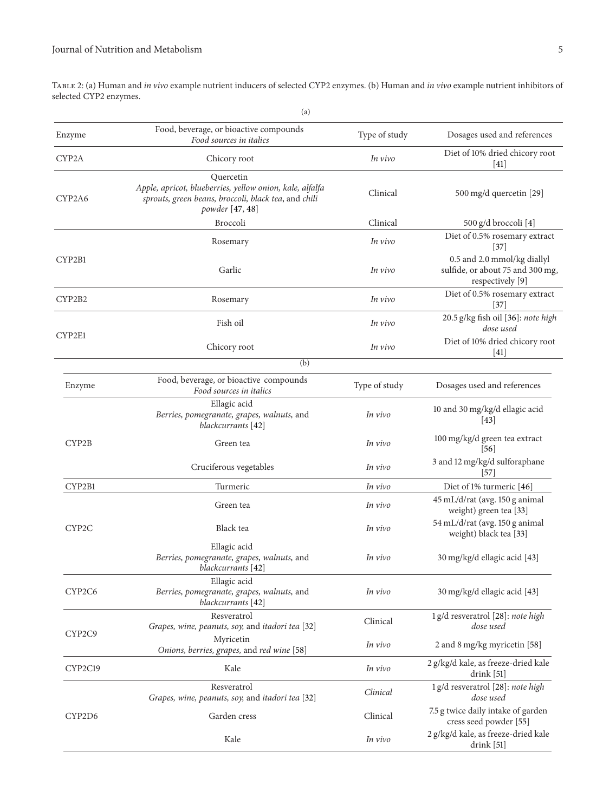Table 2: (a) Human and *in vivo* example nutrient inducers of selected CYP2 enzymes. (b) Human and *in vivo* example nutrient inhibitors of selected CYP2 enzymes.

|                    | (a)                                                                                                                                              |               |                                                                                     |
|--------------------|--------------------------------------------------------------------------------------------------------------------------------------------------|---------------|-------------------------------------------------------------------------------------|
| Enzyme             | Food, beverage, or bioactive compounds<br>Food sources in italics                                                                                | Type of study | Dosages used and references                                                         |
| CYP2A              | Chicory root                                                                                                                                     | In vivo       | Diet of 10% dried chicory root<br>[41]                                              |
| CYP2A6             | Quercetin<br>Apple, apricot, blueberries, yellow onion, kale, alfalfa<br>sprouts, green beans, broccoli, black tea, and chili<br>powder [47, 48] | Clinical      | 500 mg/d quercetin [29]                                                             |
|                    | Broccoli                                                                                                                                         | Clinical      | 500 g/d broccoli [4]                                                                |
|                    | Rosemary                                                                                                                                         | In vivo       | Diet of 0.5% rosemary extract<br>$[37]$                                             |
| CYP2B1             | Garlic                                                                                                                                           | In vivo       | 0.5 and 2.0 mmol/kg diallyl<br>sulfide, or about 75 and 300 mg,<br>respectively [9] |
| CYP2B2             | Rosemary                                                                                                                                         | In vivo       | Diet of 0.5% rosemary extract<br>$[37]$                                             |
|                    | Fish oil                                                                                                                                         | In vivo       | 20.5 g/kg fish oil [36]: note high<br>dose used                                     |
| CYP2E1             | Chicory root                                                                                                                                     | In vivo       | Diet of 10% dried chicory root<br>$[41]$                                            |
|                    | (b)                                                                                                                                              |               |                                                                                     |
| Enzyme             | Food, beverage, or bioactive compounds<br>Food sources in italics                                                                                | Type of study | Dosages used and references                                                         |
|                    | Ellagic acid<br>Berries, pomegranate, grapes, walnuts, and<br>blackcurrants [42]                                                                 | In vivo       | 10 and 30 mg/kg/d ellagic acid<br>$\vert 43 \vert$                                  |
| CYP <sub>2</sub> B | Green tea                                                                                                                                        | In vivo       | 100 mg/kg/d green tea extract<br>$\vert 56 \vert$                                   |
|                    | Cruciferous vegetables                                                                                                                           | In vivo       | 3 and 12 mg/kg/d sulforaphane<br>$[57]$                                             |
| CYP2B1             | Turmeric                                                                                                                                         | In vivo       | Diet of 1% turmeric [46]                                                            |
|                    | Green tea                                                                                                                                        | In vivo       | 45 mL/d/rat (avg. 150 g animal<br>weight) green tea [33]                            |
| CYP2C              | Black tea                                                                                                                                        | In vivo       | 54 mL/d/rat (avg. 150 g animal<br>weight) black tea [33]                            |
|                    | Ellagic acid<br>Berries, pomegranate, grapes, walnuts, and<br>blackcurrants [42]                                                                 | In vivo       | 30 mg/kg/d ellagic acid [43]                                                        |
| CYP2C6             | Ellagic acid<br>Berries, pomegranate, grapes, walnuts, and<br>blackcurrants [42]                                                                 | In vivo       | 30 mg/kg/d ellagic acid [43]                                                        |
|                    | Resveratrol<br>Grapes, wine, peanuts, soy, and itadori tea [32]                                                                                  | Clinical      | 1 g/d resveratrol [28]: note high<br>dose used                                      |
| CYP2C9             | Myricetin<br>Onions, berries, grapes, and red wine [58]                                                                                          | In vivo       | 2 and 8 mg/kg myricetin [58]                                                        |
| CYP2C19            | Kale                                                                                                                                             | In vivo       | 2 g/kg/d kale, as freeze-dried kale<br>drink [51]                                   |
|                    | Resveratrol<br>Grapes, wine, peanuts, soy, and itadori tea [32]                                                                                  | Clinical      | 1 g/d resveratrol [28]: note high<br>dose used                                      |
| CYP2D6             | Garden cress                                                                                                                                     | Clinical      | 7.5 g twice daily intake of garden<br>cress seed powder [55]                        |
|                    | Kale                                                                                                                                             | In vivo       | 2 g/kg/d kale, as freeze-dried kale<br>drink [51]                                   |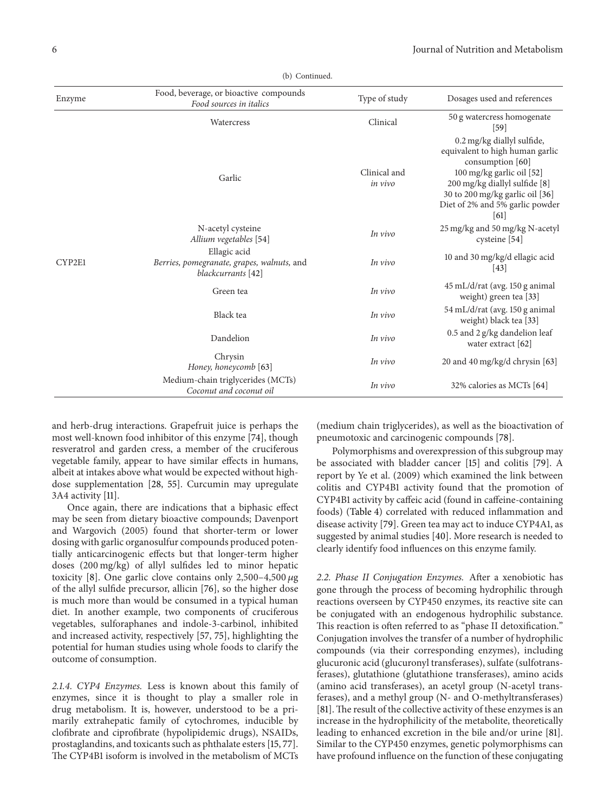| Enzyme | Food, beverage, or bioactive compounds<br>Food sources in italics                | Type of study           | Dosages used and references                                                                                                                                                                                                   |
|--------|----------------------------------------------------------------------------------|-------------------------|-------------------------------------------------------------------------------------------------------------------------------------------------------------------------------------------------------------------------------|
|        | Watercress                                                                       | Clinical                | 50 g watercress homogenate<br>[59]                                                                                                                                                                                            |
|        | Garlic                                                                           | Clinical and<br>in vivo | 0.2 mg/kg diallyl sulfide,<br>equivalent to high human garlic<br>consumption [60]<br>100 mg/kg garlic oil [52]<br>200 mg/kg diallyl sulfide [8]<br>30 to 200 mg/kg garlic oil [36]<br>Diet of 2% and 5% garlic powder<br>[61] |
|        | N-acetyl cysteine<br>Allium vegetables [54]                                      | In vivo                 | 25 mg/kg and 50 mg/kg N-acetyl<br>cysteine [54]                                                                                                                                                                               |
| CYP2E1 | Ellagic acid<br>Berries, pomegranate, grapes, walnuts, and<br>blackcurrants [42] | In vivo                 | 10 and 30 mg/kg/d ellagic acid<br> 43                                                                                                                                                                                         |
|        | Green tea                                                                        | In vivo                 | 45 mL/d/rat (avg. 150 g animal<br>weight) green tea [33]                                                                                                                                                                      |
|        | Black tea                                                                        | In vivo                 | 54 mL/d/rat (avg. 150 g animal<br>weight) black tea [33]                                                                                                                                                                      |
|        | Dandelion                                                                        | In vivo                 | 0.5 and 2 g/kg dandelion leaf<br>water extract $[62]$                                                                                                                                                                         |
|        | Chrysin<br>Honey, honeycomb [63]                                                 | In vivo                 | 20 and 40 mg/kg/d chrysin [63]                                                                                                                                                                                                |
|        | Medium-chain triglycerides (MCTs)<br>Coconut and coconut oil                     | In vivo                 | 32% calories as MCTs [64]                                                                                                                                                                                                     |

(b) Continued.

and herb-drug interactions. Grapefruit juice is perhaps the most well-known food inhibitor of this enzyme [74], though resveratrol and garden cress, a member of the cruciferous vegetable family, appear to have similar effects in humans, albeit at intakes above what would be expected without highdose supplementation [28, 55]. Curcumin may upregulate 3A4 activity [11].

Once again, there are indications that a biphasic effect may be seen from dietary bioactive compounds; Davenport and Wargovich (2005) found that shorter-term or lower dosing with garlic organosulfur compounds produced potentially anticarcinogenic effects but that longer-term higher doses (200 mg/kg) of allyl sulfides led to minor hepatic toxicity [8]. One garlic clove contains only 2,500-4,500  $\mu$ g of the allyl sulfide precursor, allicin [76], so the higher dose is much more than would be consumed in a typical human diet. In another example, two components of cruciferous vegetables, sulforaphanes and indole-3-carbinol, inhibited and increased activity, respectively [57, 75], highlighting the potential for human studies using whole foods to clarify the outcome of consumption.

*2.1.4. CYP4 Enzymes.* Less is known about this family of enzymes, since it is thought to play a smaller role in drug metabolism. It is, however, understood to be a primarily extrahepatic family of cytochromes, inducible by clofibrate and ciprofibrate (hypolipidemic drugs), NSAIDs, prostaglandins, and toxicants such as phthalate esters [15, 77]. The CYP4B1 isoform is involved in the metabolism of MCTs

(medium chain triglycerides), as well as the bioactivation of pneumotoxic and carcinogenic compounds [78].

Polymorphisms and overexpression of this subgroup may be associated with bladder cancer [15] and colitis [79]. A report by Ye et al. (2009) which examined the link between colitis and CYP4B1 activity found that the promotion of CYP4B1 activity by caffeic acid (found in caffeine-containing foods) (Table 4) correlated with reduced inflammation and disease activity [79]. Green tea may act to induce CYP4A1, as suggested by animal studies [40]. More research is needed to clearly identify food influences on this enzyme family.

*2.2. Phase II Conjugation Enzymes.* After a xenobiotic has gone through the process of becoming hydrophilic through reactions overseen by CYP450 enzymes, its reactive site can be conjugated with an endogenous hydrophilic substance. This reaction is often referred to as "phase II detoxification." Conjugation involves the transfer of a number of hydrophilic compounds (via their corresponding enzymes), including glucuronic acid (glucuronyl transferases), sulfate (sulfotransferases), glutathione (glutathione transferases), amino acids (amino acid transferases), an acetyl group (N-acetyl transferases), and a methyl group (N- and O-methyltransferases) [81]. The result of the collective activity of these enzymes is an increase in the hydrophilicity of the metabolite, theoretically leading to enhanced excretion in the bile and/or urine [81]. Similar to the CYP450 enzymes, genetic polymorphisms can have profound influence on the function of these conjugating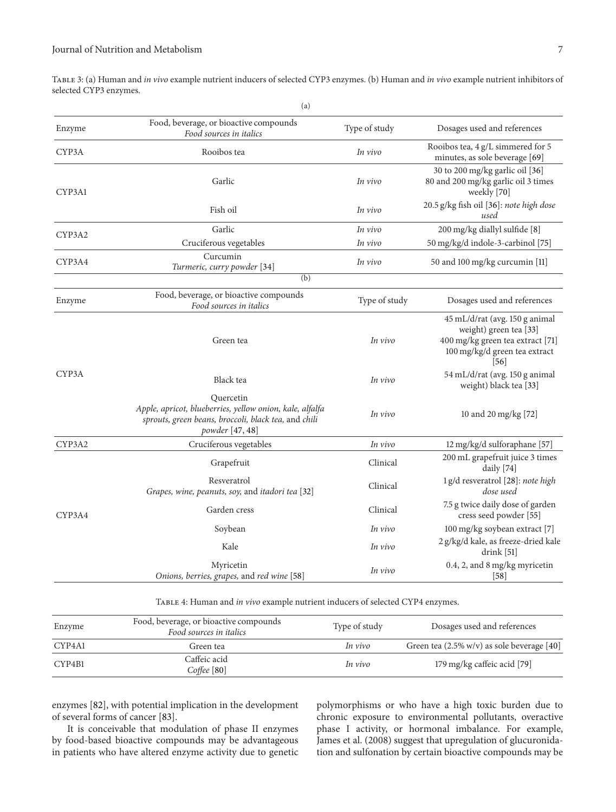Table 3: (a) Human and *in vivo* example nutrient inducers of selected CYP3 enzymes. (b) Human and *in vivo* example nutrient inhibitors of selected CYP3 enzymes.

| (a)                                                                                                                                              |               |                                                                                                                                       |
|--------------------------------------------------------------------------------------------------------------------------------------------------|---------------|---------------------------------------------------------------------------------------------------------------------------------------|
| Food, beverage, or bioactive compounds<br>Food sources in italics                                                                                | Type of study | Dosages used and references                                                                                                           |
| Rooibos tea                                                                                                                                      | In vivo       | Rooibos tea, 4 g/L simmered for 5<br>minutes, as sole beverage [69]                                                                   |
| Garlic                                                                                                                                           | In vivo       | 30 to 200 mg/kg garlic oil [36]<br>80 and 200 mg/kg garlic oil 3 times<br>weekly [70]                                                 |
| Fish oil                                                                                                                                         | In vivo       | 20.5 g/kg fish oil [36]: note high dose<br>used                                                                                       |
| Garlic                                                                                                                                           | In vivo       | 200 mg/kg diallyl sulfide [8]                                                                                                         |
| Cruciferous vegetables                                                                                                                           | In vivo       | 50 mg/kg/d indole-3-carbinol [75]                                                                                                     |
| Curcumin<br>Turmeric, curry powder [34]                                                                                                          | In vivo       | 50 and 100 mg/kg curcumin [11]                                                                                                        |
| (b)                                                                                                                                              |               |                                                                                                                                       |
| Food, beverage, or bioactive compounds<br>Food sources in italics                                                                                | Type of study | Dosages used and references                                                                                                           |
| Green tea                                                                                                                                        | In vivo       | 45 mL/d/rat (avg. 150 g animal<br>weight) green tea [33]<br>400 mg/kg green tea extract [71]<br>100 mg/kg/d green tea extract<br>[56] |
| Black tea                                                                                                                                        | In vivo       | 54 mL/d/rat (avg. 150 g animal<br>weight) black tea [33]                                                                              |
| Quercetin<br>Apple, apricot, blueberries, yellow onion, kale, alfalfa<br>sprouts, green beans, broccoli, black tea, and chili<br>powder [47, 48] | In vivo       | 10 and 20 mg/kg [72]                                                                                                                  |
| Cruciferous vegetables                                                                                                                           | In vivo       | 12 mg/kg/d sulforaphane [57]                                                                                                          |
| Grapefruit                                                                                                                                       | Clinical      | 200 mL grapefruit juice 3 times<br>daily [74]                                                                                         |
| Resveratrol<br>Grapes, wine, peanuts, soy, and itadori tea [32]                                                                                  | Clinical      | 1 g/d resveratrol [28]: note high<br>dose used                                                                                        |
| Garden cress                                                                                                                                     | Clinical      | 7.5 g twice daily dose of garden<br>cress seed powder [55]                                                                            |
| Soybean                                                                                                                                          | In vivo       | 100 mg/kg soybean extract [7]                                                                                                         |
| Kale                                                                                                                                             | In vivo       | 2 g/kg/d kale, as freeze-dried kale<br>drink [51]                                                                                     |
| Myricetin<br>Onions, berries, grapes, and red wine [58]                                                                                          | In vivo       | 0.4, 2, and 8 mg/kg myricetin<br>[58]                                                                                                 |
|                                                                                                                                                  |               |                                                                                                                                       |

Table 4: Human and *in vivo* example nutrient inducers of selected CYP4 enzymes.

| Enzyme | Food, beverage, or bioactive compounds<br>Food sources in italics | Type of study | Dosages used and references                           |
|--------|-------------------------------------------------------------------|---------------|-------------------------------------------------------|
| CYP4A1 | Green tea-                                                        | In vivo       | Green tea $(2.5\% \text{ w/v})$ as sole beverage [40] |
| CYP4B1 | Caffeic acid<br>$Cof \text{fee}$ [80]                             | In vivo       | 179 mg/kg caffeic acid [79]                           |

enzymes [82], with potential implication in the development of several forms of cancer [83].

It is conceivable that modulation of phase II enzymes by food-based bioactive compounds may be advantageous in patients who have altered enzyme activity due to genetic polymorphisms or who have a high toxic burden due to chronic exposure to environmental pollutants, overactive phase I activity, or hormonal imbalance. For example, James et al. (2008) suggest that upregulation of glucuronidation and sulfonation by certain bioactive compounds may be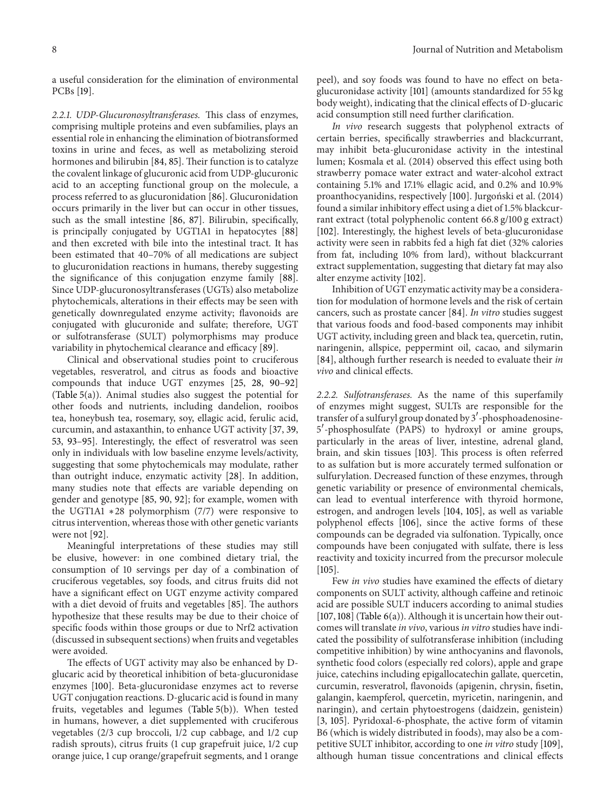a useful consideration for the elimination of environmental PCBs [19].

*2.2.1. UDP-Glucuronosyltransferases.* This class of enzymes, comprising multiple proteins and even subfamilies, plays an essential role in enhancing the elimination of biotransformed toxins in urine and feces, as well as metabolizing steroid hormones and bilirubin [84, 85]. Their function is to catalyze the covalent linkage of glucuronic acid from UDP-glucuronic acid to an accepting functional group on the molecule, a process referred to as glucuronidation [86]. Glucuronidation occurs primarily in the liver but can occur in other tissues, such as the small intestine [86, 87]. Bilirubin, specifically, is principally conjugated by UGT1A1 in hepatocytes [88] and then excreted with bile into the intestinal tract. It has been estimated that 40–70% of all medications are subject to glucuronidation reactions in humans, thereby suggesting the significance of this conjugation enzyme family [88]. Since UDP-glucuronosyltransferases (UGTs) also metabolize phytochemicals, alterations in their effects may be seen with genetically downregulated enzyme activity; flavonoids are conjugated with glucuronide and sulfate; therefore, UGT or sulfotransferase (SULT) polymorphisms may produce variability in phytochemical clearance and efficacy [89].

Clinical and observational studies point to cruciferous vegetables, resveratrol, and citrus as foods and bioactive compounds that induce UGT enzymes [25, 28, 90–92] (Table 5(a)). Animal studies also suggest the potential for other foods and nutrients, including dandelion, rooibos tea, honeybush tea, rosemary, soy, ellagic acid, ferulic acid, curcumin, and astaxanthin, to enhance UGT activity [37, 39, 53, 93–95]. Interestingly, the effect of resveratrol was seen only in individuals with low baseline enzyme levels/activity, suggesting that some phytochemicals may modulate, rather than outright induce, enzymatic activity [28]. In addition, many studies note that effects are variable depending on gender and genotype [85, 90, 92]; for example, women with the UGT1A1 ∗28 polymorphism (7/7) were responsive to citrus intervention, whereas those with other genetic variants were not [92].

Meaningful interpretations of these studies may still be elusive, however: in one combined dietary trial, the consumption of 10 servings per day of a combination of cruciferous vegetables, soy foods, and citrus fruits did not have a significant effect on UGT enzyme activity compared with a diet devoid of fruits and vegetables [85]. The authors hypothesize that these results may be due to their choice of specific foods within those groups or due to Nrf2 activation (discussed in subsequent sections) when fruits and vegetables were avoided.

The effects of UGT activity may also be enhanced by Dglucaric acid by theoretical inhibition of beta-glucuronidase enzymes [100]. Beta-glucuronidase enzymes act to reverse UGT conjugation reactions. D-glucaric acid is found in many fruits, vegetables and legumes (Table 5(b)). When tested in humans, however, a diet supplemented with cruciferous vegetables (2/3 cup broccoli, 1/2 cup cabbage, and 1/2 cup radish sprouts), citrus fruits (1 cup grapefruit juice, 1/2 cup orange juice, 1 cup orange/grapefruit segments, and 1 orange peel), and soy foods was found to have no effect on betaglucuronidase activity [101] (amounts standardized for 55 kg body weight), indicating that the clinical effects of D-glucaric acid consumption still need further clarification.

*In vivo* research suggests that polyphenol extracts of certain berries, specifically strawberries and blackcurrant, may inhibit beta-glucuronidase activity in the intestinal lumen; Kosmala et al. (2014) observed this effect using both strawberry pomace water extract and water-alcohol extract containing 5.1% and 17.1% ellagic acid, and 0.2% and 10.9% proanthocyanidins, respectively [100]. Jurgoński et al. (2014) found a similar inhibitory effect using a diet of 1.5% blackcurrant extract (total polyphenolic content 66.8 g/100 g extract) [102]. Interestingly, the highest levels of beta-glucuronidase activity were seen in rabbits fed a high fat diet (32% calories from fat, including 10% from lard), without blackcurrant extract supplementation, suggesting that dietary fat may also alter enzyme activity [102].

Inhibition of UGT enzymatic activity may be a consideration for modulation of hormone levels and the risk of certain cancers, such as prostate cancer [84]. *In vitro* studies suggest that various foods and food-based components may inhibit UGT activity, including green and black tea, quercetin, rutin, naringenin, allspice, peppermint oil, cacao, and silymarin [84], although further research is needed to evaluate their *in vivo* and clinical effects.

*2.2.2. Sulfotransferases.* As the name of this superfamily of enzymes might suggest, SULTs are responsible for the transfer of a sulfuryl group donated by 3 -phosphoadenosine-5 -phosphosulfate (PAPS) to hydroxyl or amine groups, particularly in the areas of liver, intestine, adrenal gland, brain, and skin tissues [103]. This process is often referred to as sulfation but is more accurately termed sulfonation or sulfurylation. Decreased function of these enzymes, through genetic variability or presence of environmental chemicals, can lead to eventual interference with thyroid hormone, estrogen, and androgen levels [104, 105], as well as variable polyphenol effects [106], since the active forms of these compounds can be degraded via sulfonation. Typically, once compounds have been conjugated with sulfate, there is less reactivity and toxicity incurred from the precursor molecule [105].

Few *in vivo* studies have examined the effects of dietary components on SULT activity, although caffeine and retinoic acid are possible SULT inducers according to animal studies [107, 108] (Table  $6(a)$ ). Although it is uncertain how their outcomes will translate *in vivo*, various *in vitro* studies have indicated the possibility of sulfotransferase inhibition (including competitive inhibition) by wine anthocyanins and flavonols, synthetic food colors (especially red colors), apple and grape juice, catechins including epigallocatechin gallate, quercetin, curcumin, resveratrol, flavonoids (apigenin, chrysin, fisetin, galangin, kaempferol, quercetin, myricetin, naringenin, and naringin), and certain phytoestrogens (daidzein, genistein) [3, 105]. Pyridoxal-6-phosphate, the active form of vitamin B6 (which is widely distributed in foods), may also be a competitive SULT inhibitor, according to one *in vitro* study [109], although human tissue concentrations and clinical effects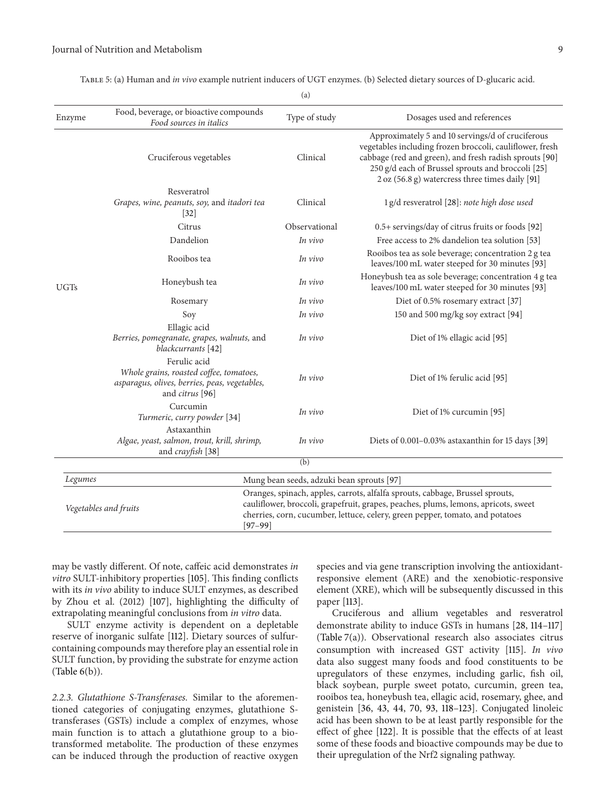| Enzyme                             | Food, beverage, or bioactive compounds<br>Food sources in italics                                                           | Type of study                             | Dosages used and references                                                                                                                                                                                                                                                    |
|------------------------------------|-----------------------------------------------------------------------------------------------------------------------------|-------------------------------------------|--------------------------------------------------------------------------------------------------------------------------------------------------------------------------------------------------------------------------------------------------------------------------------|
|                                    | Cruciferous vegetables                                                                                                      | Clinical                                  | Approximately 5 and 10 servings/d of cruciferous<br>vegetables including frozen broccoli, cauliflower, fresh<br>cabbage (red and green), and fresh radish sprouts [90]<br>250 g/d each of Brussel sprouts and broccoli [25]<br>2 oz (56.8 g) watercress three times daily [91] |
|                                    | Resveratrol<br>Grapes, wine, peanuts, soy, and itadori tea<br>$[32]$                                                        | Clinical                                  | 1 g/d resveratrol [28]: note high dose used                                                                                                                                                                                                                                    |
|                                    | Citrus                                                                                                                      | Observational                             | 0.5+ servings/day of citrus fruits or foods [92]                                                                                                                                                                                                                               |
|                                    | Dandelion                                                                                                                   | In vivo                                   | Free access to 2% dandelion tea solution [53]                                                                                                                                                                                                                                  |
|                                    | Rooibos tea                                                                                                                 | In vivo                                   | Rooibos tea as sole beverage; concentration 2 g tea<br>leaves/100 mL water steeped for 30 minutes [93]                                                                                                                                                                         |
| <b>UGTs</b>                        | Honeybush tea                                                                                                               | In vivo                                   | Honeybush tea as sole beverage; concentration 4 g tea<br>leaves/100 mL water steeped for 30 minutes [93]                                                                                                                                                                       |
|                                    | Rosemary                                                                                                                    | In vivo                                   | Diet of 0.5% rosemary extract [37]                                                                                                                                                                                                                                             |
|                                    | Soy                                                                                                                         | In vivo                                   | 150 and 500 mg/kg soy extract [94]                                                                                                                                                                                                                                             |
|                                    | Ellagic acid<br>Berries, pomegranate, grapes, walnuts, and<br>blackcurrants [42]                                            | In vivo                                   | Diet of 1% ellagic acid [95]                                                                                                                                                                                                                                                   |
|                                    | Ferulic acid<br>Whole grains, roasted coffee, tomatoes,<br>asparagus, olives, berries, peas, vegetables,<br>and citrus [96] | In vivo                                   | Diet of 1% ferulic acid [95]                                                                                                                                                                                                                                                   |
|                                    | Curcumin<br>Turmeric, curry powder [34]                                                                                     | In vivo                                   | Diet of 1% curcumin [95]                                                                                                                                                                                                                                                       |
|                                    | Astaxanthin<br>Algae, yeast, salmon, trout, krill, shrimp,<br>and crayfish [38]                                             | In vivo                                   | Diets of 0.001-0.03% astaxanthin for 15 days [39]                                                                                                                                                                                                                              |
|                                    |                                                                                                                             | (b)                                       |                                                                                                                                                                                                                                                                                |
| Legumes                            |                                                                                                                             | Mung bean seeds, adzuki bean sprouts [97] |                                                                                                                                                                                                                                                                                |
| Vegetables and fruits<br>$[97-99]$ |                                                                                                                             |                                           | Oranges, spinach, apples, carrots, alfalfa sprouts, cabbage, Brussel sprouts,<br>cauliflower, broccoli, grapefruit, grapes, peaches, plums, lemons, apricots, sweet<br>cherries, corn, cucumber, lettuce, celery, green pepper, tomato, and potatoes                           |

may be vastly different. Of note, caffeic acid demonstrates *in vitro* SULT-inhibitory properties [105]. This finding conflicts with its *in vivo* ability to induce SULT enzymes, as described by Zhou et al. (2012) [107], highlighting the difficulty of extrapolating meaningful conclusions from *in vitro* data.

SULT enzyme activity is dependent on a depletable reserve of inorganic sulfate [112]. Dietary sources of sulfurcontaining compounds may therefore play an essential role in SULT function, by providing the substrate for enzyme action (Table 6(b)).

*2.2.3. Glutathione S-Transferases.* Similar to the aforementioned categories of conjugating enzymes, glutathione Stransferases (GSTs) include a complex of enzymes, whose main function is to attach a glutathione group to a biotransformed metabolite. The production of these enzymes can be induced through the production of reactive oxygen species and via gene transcription involving the antioxidantresponsive element (ARE) and the xenobiotic-responsive element (XRE), which will be subsequently discussed in this paper [113].

Cruciferous and allium vegetables and resveratrol demonstrate ability to induce GSTs in humans [28, 114–117] (Table 7(a)). Observational research also associates citrus consumption with increased GST activity [115]. *In vivo* data also suggest many foods and food constituents to be upregulators of these enzymes, including garlic, fish oil, black soybean, purple sweet potato, curcumin, green tea, rooibos tea, honeybush tea, ellagic acid, rosemary, ghee, and genistein [36, 43, 44, 70, 93, 118–123]. Conjugated linoleic acid has been shown to be at least partly responsible for the effect of ghee [122]. It is possible that the effects of at least some of these foods and bioactive compounds may be due to their upregulation of the Nrf2 signaling pathway.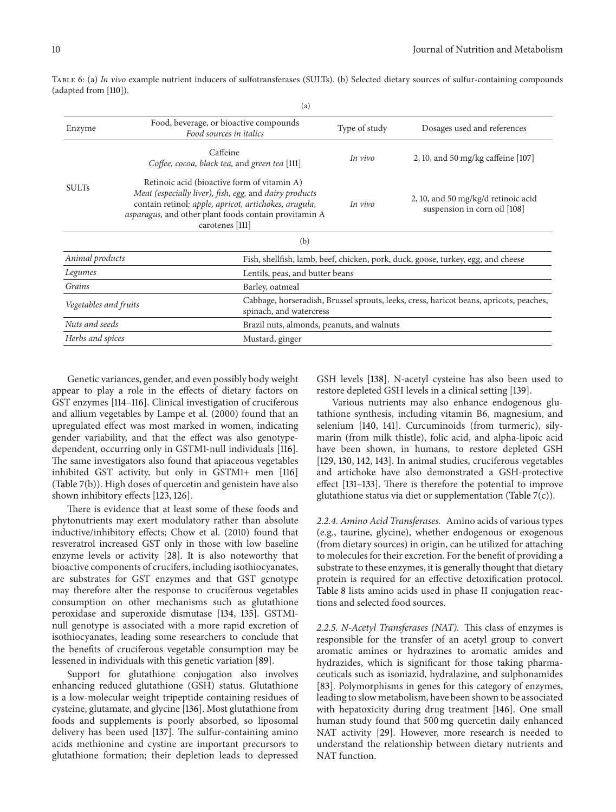|                                                              | (a)                                                                                                                                                                                                                                        |                                                                                        |                                                                                  |  |
|--------------------------------------------------------------|--------------------------------------------------------------------------------------------------------------------------------------------------------------------------------------------------------------------------------------------|----------------------------------------------------------------------------------------|----------------------------------------------------------------------------------|--|
| Enzyme                                                       | Food, beverage, or bioactive compounds<br>Food sources in italics                                                                                                                                                                          | Type of study                                                                          | Dosages used and references                                                      |  |
|                                                              | Caffeine<br>Coffee, cocoa, black tea, and green tea [111]                                                                                                                                                                                  | In vivo                                                                                | 2, 10, and 50 mg/kg caffeine [107]                                               |  |
| <b>SULTs</b>                                                 | Retinoic acid (bioactive form of vitamin A)<br>Meat (especially liver), fish, egg, and dairy products<br>contain retinol; apple, apricot, artichokes, arugula,<br>asparagus, and other plant foods contain provitamin A<br>carotenes [111] | In vivo                                                                                | 2, 10, and 50 mg/kg/d retinoic acid<br>suspension in corn oil [108]              |  |
|                                                              | (b)                                                                                                                                                                                                                                        |                                                                                        |                                                                                  |  |
| Animal products                                              |                                                                                                                                                                                                                                            |                                                                                        | Fish, shellfish, lamb, beef, chicken, pork, duck, goose, turkey, egg, and cheese |  |
| Legumes                                                      | Lentils, peas, and butter beans                                                                                                                                                                                                            |                                                                                        |                                                                                  |  |
| Grains                                                       | Barley, oatmeal                                                                                                                                                                                                                            |                                                                                        |                                                                                  |  |
| Vegetables and fruits                                        | spinach, and watercress                                                                                                                                                                                                                    | Cabbage, horseradish, Brussel sprouts, leeks, cress, haricot beans, apricots, peaches, |                                                                                  |  |
| Nuts and seeds<br>Brazil nuts, almonds, peanuts, and walnuts |                                                                                                                                                                                                                                            |                                                                                        |                                                                                  |  |
| Herbs and spices<br>Mustard, ginger                          |                                                                                                                                                                                                                                            |                                                                                        |                                                                                  |  |

Table 6: (a) *In vivo* example nutrient inducers of sulfotransferases (SULTs). (b) Selected dietary sources of sulfur-containing compounds (adapted from [110]).

Genetic variances, gender, and even possibly body weight appear to play a role in the effects of dietary factors on GST enzymes [114–116]. Clinical investigation of cruciferous and allium vegetables by Lampe et al. (2000) found that an upregulated effect was most marked in women, indicating gender variability, and that the effect was also genotypedependent, occurring only in GSTM1-null individuals [116]. The same investigators also found that apiaceous vegetables inhibited GST activity, but only in GSTM1+ men [116] (Table 7(b)). High doses of quercetin and genistein have also shown inhibitory effects [123, 126].

There is evidence that at least some of these foods and phytonutrients may exert modulatory rather than absolute inductive/inhibitory effects; Chow et al. (2010) found that resveratrol increased GST only in those with low baseline enzyme levels or activity [28]. It is also noteworthy that bioactive components of crucifers, including isothiocyanates, are substrates for GST enzymes and that GST genotype may therefore alter the response to cruciferous vegetables consumption on other mechanisms such as glutathione peroxidase and superoxide dismutase [134, 135]. GSTM1 null genotype is associated with a more rapid excretion of isothiocyanates, leading some researchers to conclude that the benefits of cruciferous vegetable consumption may be lessened in individuals with this genetic variation [89].

Support for glutathione conjugation also involves enhancing reduced glutathione (GSH) status. Glutathione is a low-molecular weight tripeptide containing residues of cysteine, glutamate, and glycine [136]. Most glutathione from foods and supplements is poorly absorbed, so liposomal delivery has been used [137]. The sulfur-containing amino acids methionine and cystine are important precursors to glutathione formation; their depletion leads to depressed

GSH levels [138]. N-acetyl cysteine has also been used to restore depleted GSH levels in a clinical setting [139].

Various nutrients may also enhance endogenous glutathione synthesis, including vitamin B6, magnesium, and selenium [140, 141]. Curcuminoids (from turmeric), silymarin (from milk thistle), folic acid, and alpha-lipoic acid have been shown, in humans, to restore depleted GSH [129, 130, 142, 143]. In animal studies, cruciferous vegetables and artichoke have also demonstrated a GSH-protective effect [131–133]. There is therefore the potential to improve glutathione status via diet or supplementation (Table 7(c)).

*2.2.4. Amino Acid Transferases.* Amino acids of various types (e.g., taurine, glycine), whether endogenous or exogenous (from dietary sources) in origin, can be utilized for attaching to molecules for their excretion. For the benefit of providing a substrate to these enzymes, it is generally thought that dietary protein is required for an effective detoxification protocol. Table 8 lists amino acids used in phase II conjugation reactions and selected food sources.

*2.2.5. N-Acetyl Transferases (NAT).* This class of enzymes is responsible for the transfer of an acetyl group to convert aromatic amines or hydrazines to aromatic amides and hydrazides, which is significant for those taking pharmaceuticals such as isoniazid, hydralazine, and sulphonamides [83]. Polymorphisms in genes for this category of enzymes, leading to slow metabolism, have been shown to be associated with hepatoxicity during drug treatment [146]. One small human study found that 500 mg quercetin daily enhanced NAT activity [29]. However, more research is needed to understand the relationship between dietary nutrients and NAT function.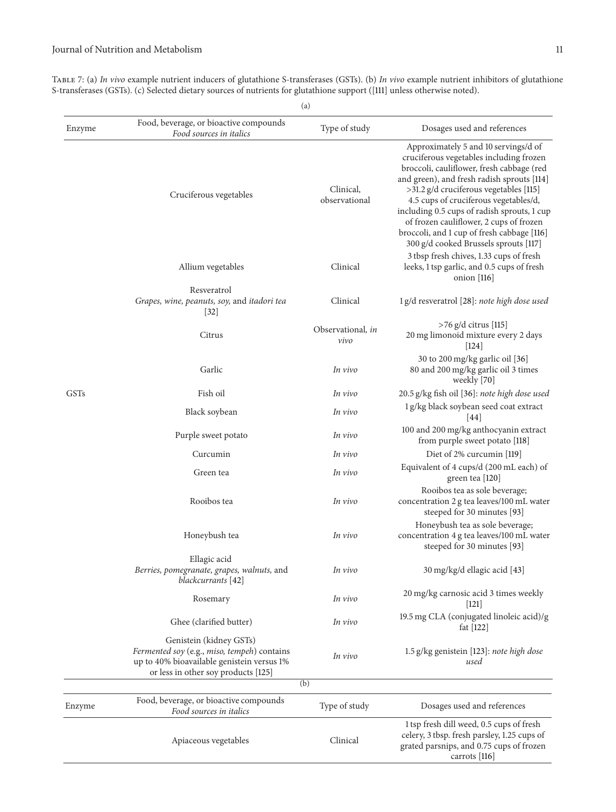Table 7: (a) *In vivo* example nutrient inducers of glutathione S-transferases (GSTs). (b) *In vivo* example nutrient inhibitors of glutathione S-transferases (GSTs). (c) Selected dietary sources of nutrients for glutathione support ([111] unless otherwise noted).

| (a)         |                                                                                                                                                             |                            |                                                                                                                                                                                                                                                                                                                                                                                                                                                |
|-------------|-------------------------------------------------------------------------------------------------------------------------------------------------------------|----------------------------|------------------------------------------------------------------------------------------------------------------------------------------------------------------------------------------------------------------------------------------------------------------------------------------------------------------------------------------------------------------------------------------------------------------------------------------------|
| Enzyme      | Food, beverage, or bioactive compounds<br>Food sources in italics                                                                                           | Type of study              | Dosages used and references                                                                                                                                                                                                                                                                                                                                                                                                                    |
|             | Cruciferous vegetables                                                                                                                                      | Clinical,<br>observational | Approximately 5 and 10 servings/d of<br>cruciferous vegetables including frozen<br>broccoli, cauliflower, fresh cabbage (red<br>and green), and fresh radish sprouts [114]<br>>31.2 g/d cruciferous vegetables [115]<br>4.5 cups of cruciferous vegetables/d,<br>including 0.5 cups of radish sprouts, 1 cup<br>of frozen cauliflower, 2 cups of frozen<br>broccoli, and 1 cup of fresh cabbage [116]<br>300 g/d cooked Brussels sprouts [117] |
|             | Allium vegetables                                                                                                                                           | Clinical                   | 3 tbsp fresh chives, 1.33 cups of fresh<br>leeks, 1 tsp garlic, and 0.5 cups of fresh<br>onion $[116]$                                                                                                                                                                                                                                                                                                                                         |
|             | Resveratrol                                                                                                                                                 |                            |                                                                                                                                                                                                                                                                                                                                                                                                                                                |
|             | Grapes, wine, peanuts, soy, and itadori tea<br>$[32]$                                                                                                       | Clinical                   | 1 g/d resveratrol [28]: note high dose used                                                                                                                                                                                                                                                                                                                                                                                                    |
|             | Citrus                                                                                                                                                      | Observational, in<br>vivo  | $>76$ g/d citrus [115]<br>20 mg limonoid mixture every 2 days<br> 124                                                                                                                                                                                                                                                                                                                                                                          |
|             | Garlic                                                                                                                                                      | In vivo                    | 30 to 200 mg/kg garlic oil [36]<br>80 and 200 mg/kg garlic oil 3 times<br>weekly [70]                                                                                                                                                                                                                                                                                                                                                          |
| <b>GSTs</b> | Fish oil                                                                                                                                                    | In vivo                    | 20.5 g/kg fish oil [36]: note high dose used                                                                                                                                                                                                                                                                                                                                                                                                   |
|             | Black soybean                                                                                                                                               | In vivo                    | 1 g/kg black soybean seed coat extract<br>$[44]$                                                                                                                                                                                                                                                                                                                                                                                               |
|             | Purple sweet potato                                                                                                                                         | In vivo                    | 100 and 200 mg/kg anthocyanin extract<br>from purple sweet potato [118]                                                                                                                                                                                                                                                                                                                                                                        |
|             | Curcumin                                                                                                                                                    | In vivo                    | Diet of 2% curcumin [119]                                                                                                                                                                                                                                                                                                                                                                                                                      |
|             | Green tea                                                                                                                                                   | In vivo                    | Equivalent of 4 cups/d (200 mL each) of<br>green tea [120]                                                                                                                                                                                                                                                                                                                                                                                     |
|             | Rooibos tea                                                                                                                                                 | In vivo                    | Rooibos tea as sole beverage;<br>concentration 2 g tea leaves/100 mL water<br>steeped for 30 minutes [93]                                                                                                                                                                                                                                                                                                                                      |
|             | Honeybush tea                                                                                                                                               | In vivo                    | Honeybush tea as sole beverage;<br>concentration 4 g tea leaves/100 mL water<br>steeped for 30 minutes [93]                                                                                                                                                                                                                                                                                                                                    |
|             | Ellagic acid<br>Berries, pomegranate, grapes, walnuts, and<br>blackcurrants [42]                                                                            | In vivo                    | 30 mg/kg/d ellagic acid [43]                                                                                                                                                                                                                                                                                                                                                                                                                   |
|             | Rosemary                                                                                                                                                    | In vivo                    | 20 mg/kg carnosic acid 3 times weekly<br> 121                                                                                                                                                                                                                                                                                                                                                                                                  |
|             | Ghee (clarified butter)                                                                                                                                     | In vivo                    | 19.5 mg CLA (conjugated linoleic acid)/g<br>fat $[122]$                                                                                                                                                                                                                                                                                                                                                                                        |
|             | Genistein (kidney GSTs)<br>Fermented soy (e.g., miso, tempeh) contains<br>up to 40% bioavailable genistein versus 1%<br>or less in other soy products [125] | In vivo                    | 1.5 g/kg genistein [123]: note high dose<br>used                                                                                                                                                                                                                                                                                                                                                                                               |
|             |                                                                                                                                                             | (b)                        |                                                                                                                                                                                                                                                                                                                                                                                                                                                |
| Enzyme      | Food, beverage, or bioactive compounds<br>Food sources in italics                                                                                           | Type of study              | Dosages used and references                                                                                                                                                                                                                                                                                                                                                                                                                    |
|             | Apiaceous vegetables                                                                                                                                        | Clinical                   | 1 tsp fresh dill weed, 0.5 cups of fresh<br>celery, 3 tbsp. fresh parsley, 1.25 cups of<br>grated parsnips, and 0.75 cups of frozen<br>carrots $[116]$                                                                                                                                                                                                                                                                                         |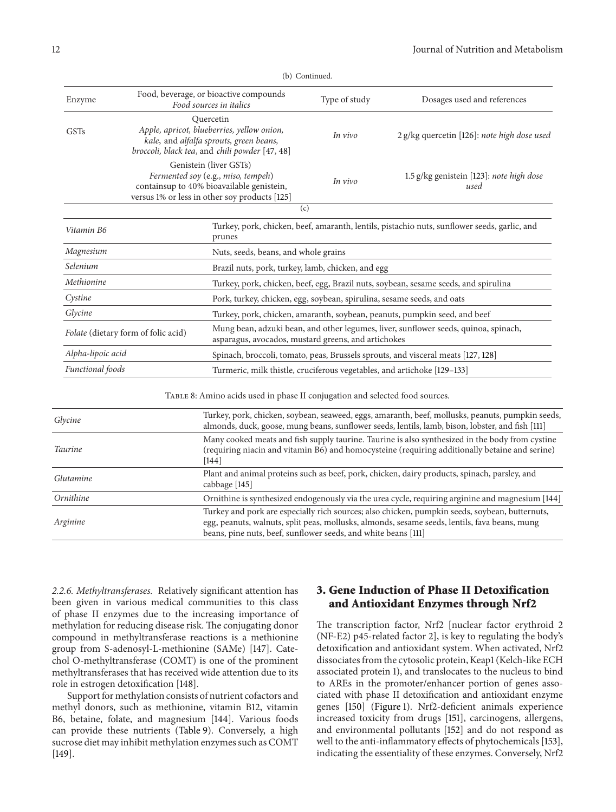| Enzyme                                                                                                                                                                                                                         |                                                                           | Food, beverage, or bioactive compounds<br>Food sources in italics                                                                                          | Type of study | Dosages used and references                                                                      |
|--------------------------------------------------------------------------------------------------------------------------------------------------------------------------------------------------------------------------------|---------------------------------------------------------------------------|------------------------------------------------------------------------------------------------------------------------------------------------------------|---------------|--------------------------------------------------------------------------------------------------|
| <b>GSTs</b>                                                                                                                                                                                                                    |                                                                           | Quercetin<br>Apple, apricot, blueberries, yellow onion,<br>kale, and alfalfa sprouts, green beans,<br>broccoli, black tea, and chili powder [47, 48]       | In vivo       | 2 g/kg quercetin [126]: note high dose used                                                      |
|                                                                                                                                                                                                                                |                                                                           | Genistein (liver GSTs)<br>Fermented soy (e.g., miso, tempeh)<br>containsup to 40% bioavailable genistein,<br>versus 1% or less in other soy products [125] | In vivo       | 1.5 g/kg genistein [123]: note high dose<br>used                                                 |
|                                                                                                                                                                                                                                |                                                                           | (c)                                                                                                                                                        |               |                                                                                                  |
| Vitamin B6                                                                                                                                                                                                                     |                                                                           | prunes                                                                                                                                                     |               | Turkey, pork, chicken, beef, amaranth, lentils, pistachio nuts, sunflower seeds, garlic, and     |
| Magnesium                                                                                                                                                                                                                      |                                                                           | Nuts, seeds, beans, and whole grains                                                                                                                       |               |                                                                                                  |
| Selenium                                                                                                                                                                                                                       |                                                                           | Brazil nuts, pork, turkey, lamb, chicken, and egg                                                                                                          |               |                                                                                                  |
| Methionine                                                                                                                                                                                                                     |                                                                           |                                                                                                                                                            |               | Turkey, pork, chicken, beef, egg, Brazil nuts, soybean, sesame seeds, and spirulina              |
| Cystine<br>Pork, turkey, chicken, egg, soybean, spirulina, sesame seeds, and oats                                                                                                                                              |                                                                           |                                                                                                                                                            |               |                                                                                                  |
| Glycine                                                                                                                                                                                                                        | Turkey, pork, chicken, amaranth, soybean, peanuts, pumpkin seed, and beef |                                                                                                                                                            |               |                                                                                                  |
| Mung bean, adzuki bean, and other legumes, liver, sunflower seeds, quinoa, spinach,<br>Folate (dietary form of folic acid)<br>asparagus, avocados, mustard greens, and artichokes                                              |                                                                           |                                                                                                                                                            |               |                                                                                                  |
| Alpha-lipoic acid                                                                                                                                                                                                              |                                                                           |                                                                                                                                                            |               | Spinach, broccoli, tomato, peas, Brussels sprouts, and visceral meats [127, 128]                 |
| Functional foods                                                                                                                                                                                                               |                                                                           | Turmeric, milk thistle, cruciferous vegetables, and artichoke [129-133]                                                                                    |               |                                                                                                  |
|                                                                                                                                                                                                                                |                                                                           | TABLE 8: Amino acids used in phase II conjugation and selected food sources.                                                                               |               |                                                                                                  |
| Turkey, pork, chicken, soybean, seaweed, eggs, amaranth, beef, mollusks, peanuts, pumpkin seeds<br>Glycine<br>almonds, duck, goose, mung beans, sunflower seeds, lentils, lamb, bison, lobster, and fish [111]                 |                                                                           |                                                                                                                                                            |               |                                                                                                  |
| Many cooked meats and fish supply taurine. Taurine is also synthesized in the body from cystine<br><b>Taurine</b><br>(requiring niacin and vitamin B6) and homocysteine (requiring additionally betaine and serine)<br>$[144]$ |                                                                           |                                                                                                                                                            |               |                                                                                                  |
| Plant and animal proteins such as beef, pork, chicken, dairy products, spinach, parsley, and<br>Glutamine<br>cabbage [145]                                                                                                     |                                                                           |                                                                                                                                                            |               |                                                                                                  |
| Ornithine                                                                                                                                                                                                                      |                                                                           |                                                                                                                                                            |               | Ornithine is synthesized endogenously via the urea cycle, requiring arginine and magnesium [144] |
| Turkey and pork are especially rich sources; also chicken, pumpkin seeds, soybean, butternuts,<br>Arginine<br>egg, peanuts, walnuts, split peas, mollusks, almonds, sesame seeds, lentils, fava beans, mung                    |                                                                           |                                                                                                                                                            |               |                                                                                                  |

beans, pine nuts, beef, sunflower seeds, and white beans [111]

(b) Continued.

*2.2.6. Methyltransferases.* Relatively significant attention has been given in various medical communities to this class of phase II enzymes due to the increasing importance of methylation for reducing disease risk. The conjugating donor compound in methyltransferase reactions is a methionine group from S-adenosyl-L-methionine (SAMe) [147]. Catechol O-methyltransferase (COMT) is one of the prominent methyltransferases that has received wide attention due to its role in estrogen detoxification [148].

Support for methylation consists of nutrient cofactors and methyl donors, such as methionine, vitamin B12, vitamin B6, betaine, folate, and magnesium [144]. Various foods can provide these nutrients (Table 9). Conversely, a high sucrose diet may inhibit methylation enzymes such as COMT [149].

## **3. Gene Induction of Phase II Detoxification and Antioxidant Enzymes through Nrf2**

The transcription factor, Nrf2 [nuclear factor erythroid 2 (NF-E2) p45-related factor 2], is key to regulating the body's detoxification and antioxidant system. When activated, Nrf2 dissociates from the cytosolic protein, Keap1 (Kelch-like ECH associated protein 1), and translocates to the nucleus to bind to AREs in the promoter/enhancer portion of genes associated with phase II detoxification and antioxidant enzyme genes [150] (Figure 1). Nrf2-deficient animals experience increased toxicity from drugs [151], carcinogens, allergens, and environmental pollutants [152] and do not respond as well to the anti-inflammatory effects of phytochemicals [153], indicating the essentiality of these enzymes. Conversely, Nrf2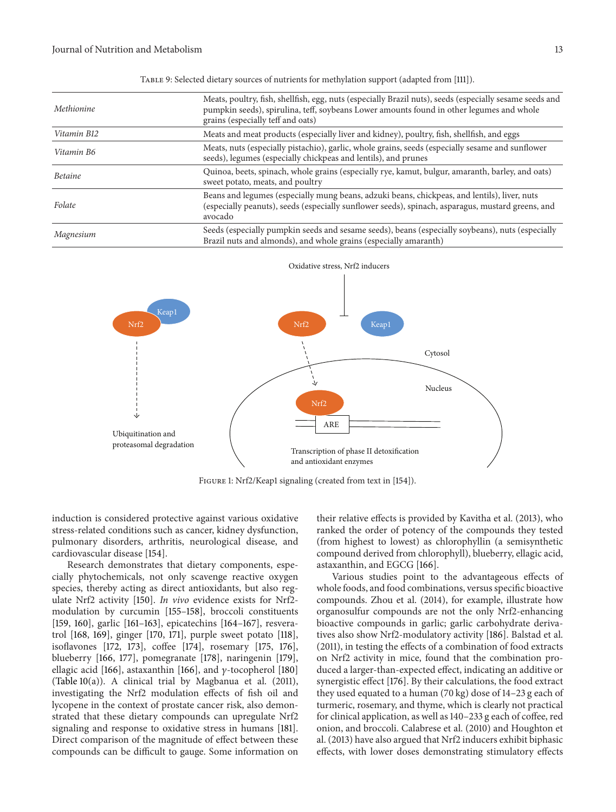| Methionine     | Meats, poultry, fish, shellfish, egg, nuts (especially Brazil nuts), seeds (especially sesame seeds and<br>pumpkin seeds), spirulina, teff, soybeans Lower amounts found in other legumes and whole<br>grains (especially teff and oats) |
|----------------|------------------------------------------------------------------------------------------------------------------------------------------------------------------------------------------------------------------------------------------|
| Vitamin B12    | Meats and meat products (especially liver and kidney), poultry, fish, shellfish, and eggs                                                                                                                                                |
| Vitamin B6     | Meats, nuts (especially pistachio), garlic, whole grains, seeds (especially sesame and sunflower<br>seeds), legumes (especially chickpeas and lentils), and prunes                                                                       |
| <b>Betaine</b> | Quinoa, beets, spinach, whole grains (especially rye, kamut, bulgur, amaranth, barley, and oats)<br>sweet potato, meats, and poultry                                                                                                     |
| Folate         | Beans and legumes (especially mung beans, adzuki beans, chickpeas, and lentils), liver, nuts<br>(especially peanuts), seeds (especially sunflower seeds), spinach, asparagus, mustard greens, and<br>avocado                             |
| Magnesium      | Seeds (especially pumpkin seeds and sesame seeds), beans (especially soybeans), nuts (especially<br>Brazil nuts and almonds), and whole grains (especially amaranth)                                                                     |

Table 9: Selected dietary sources of nutrients for methylation support (adapted from [111]).



FIGURE 1: Nrf2/Keap1 signaling (created from text in [154]).

induction is considered protective against various oxidative stress-related conditions such as cancer, kidney dysfunction, pulmonary disorders, arthritis, neurological disease, and cardiovascular disease [154].

Research demonstrates that dietary components, especially phytochemicals, not only scavenge reactive oxygen species, thereby acting as direct antioxidants, but also regulate Nrf2 activity [150]. *In vivo* evidence exists for Nrf2 modulation by curcumin [155–158], broccoli constituents [159, 160], garlic [161–163], epicatechins [164–167], resveratrol [168, 169], ginger [170, 171], purple sweet potato [118], isoflavones [172, 173], coffee [174], rosemary [175, 176], blueberry [166, 177], pomegranate [178], naringenin [179], ellagic acid [166], astaxanthin [166], and  $\gamma$ -tocopherol [180] (Table 10(a)). A clinical trial by Magbanua et al. (2011), investigating the Nrf2 modulation effects of fish oil and lycopene in the context of prostate cancer risk, also demonstrated that these dietary compounds can upregulate Nrf2 signaling and response to oxidative stress in humans [181]. Direct comparison of the magnitude of effect between these compounds can be difficult to gauge. Some information on their relative effects is provided by Kavitha et al. (2013), who ranked the order of potency of the compounds they tested (from highest to lowest) as chlorophyllin (a semisynthetic compound derived from chlorophyll), blueberry, ellagic acid, astaxanthin, and EGCG [166].

Various studies point to the advantageous effects of whole foods, and food combinations, versus specific bioactive compounds. Zhou et al. (2014), for example, illustrate how organosulfur compounds are not the only Nrf2-enhancing bioactive compounds in garlic; garlic carbohydrate derivatives also show Nrf2-modulatory activity [186]. Balstad et al. (2011), in testing the effects of a combination of food extracts on Nrf2 activity in mice, found that the combination produced a larger-than-expected effect, indicating an additive or synergistic effect [176]. By their calculations, the food extract they used equated to a human (70 kg) dose of 14–23 g each of turmeric, rosemary, and thyme, which is clearly not practical for clinical application, as well as 140–233 g each of coffee, red onion, and broccoli. Calabrese et al. (2010) and Houghton et al. (2013) have also argued that Nrf2 inducers exhibit biphasic effects, with lower doses demonstrating stimulatory effects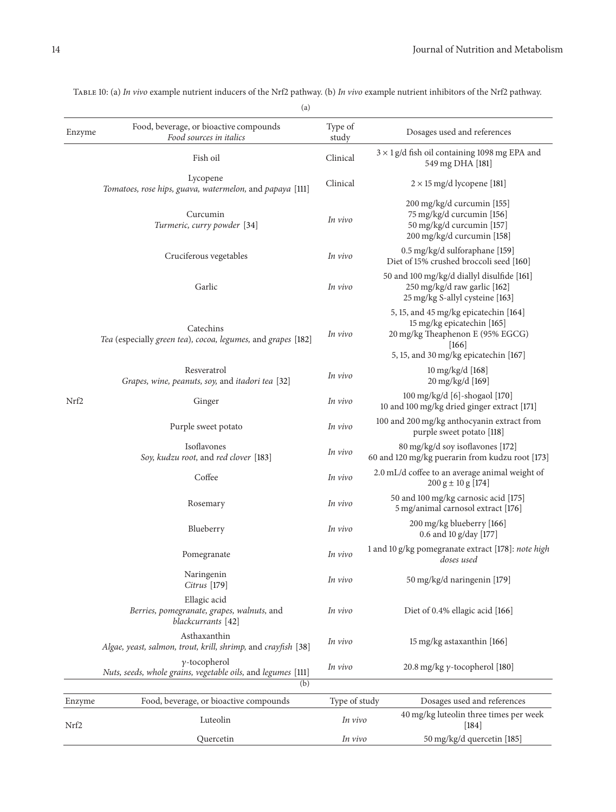|        | $\left( a\right)$                                                                           |                          |                                                                                                                    |
|--------|---------------------------------------------------------------------------------------------|--------------------------|--------------------------------------------------------------------------------------------------------------------|
| Enzyme | Food, beverage, or bioactive compounds<br>Food sources in italics                           | Type of<br>study         | Dosages used and references                                                                                        |
|        | Fish oil                                                                                    | Clinical                 | $3 \times 1$ g/d fish oil containing 1098 mg EPA and<br>549 mg DHA [181]                                           |
| Nrf2   | Lycopene<br>Tomatoes, rose hips, guava, watermelon, and papaya [111]                        | Clinical                 | $2 \times 15$ mg/d lycopene [181]                                                                                  |
|        | Curcumin<br>Turmeric, curry powder [34]                                                     | In vivo                  | 200 mg/kg/d curcumin [155]<br>75 mg/kg/d curcumin [156]<br>50 mg/kg/d curcumin [157]<br>200 mg/kg/d curcumin [158] |
|        | Cruciferous vegetables                                                                      | In vivo                  | 0.5 mg/kg/d sulforaphane [159]<br>Diet of 15% crushed broccoli seed [160]                                          |
|        | Garlic                                                                                      | In vivo                  | 50 and 100 mg/kg/d diallyl disulfide [161]<br>250 mg/kg/d raw garlic [162]<br>25 mg/kg S-allyl cysteine [163]      |
|        | Catechins<br>Tea (especially green tea), cocoa, legumes, and grapes [182]                   | In vivo                  | 5, 15, and 45 mg/kg epicatechin [164]<br>15 mg/kg epicatechin [165]<br>20 mg/kg Theaphenon E (95% EGCG)<br> 166    |
|        |                                                                                             |                          | 5, 15, and 30 mg/kg epicatechin [167]                                                                              |
|        | Resveratrol<br>Grapes, wine, peanuts, soy, and itadori tea [32]                             | In vivo                  | 10 mg/kg/d [168]<br>20 mg/kg/d [169]                                                                               |
|        | Ginger                                                                                      | In vivo                  | 100 mg/kg/d [6]-shogaol [170]<br>10 and 100 mg/kg dried ginger extract [171]                                       |
|        | Purple sweet potato                                                                         | In vivo                  | 100 and 200 mg/kg anthocyanin extract from<br>purple sweet potato [118]                                            |
|        | Isoflavones<br>Soy, kudzu root, and red clover [183]                                        | In vivo                  | 80 mg/kg/d soy isoflavones [172]<br>60 and 120 mg/kg puerarin from kudzu root [173]                                |
|        | Coffee                                                                                      | In vivo                  | 2.0 mL/d coffee to an average animal weight of<br>$200 g \pm 10 g [174]$                                           |
|        | Rosemary                                                                                    | In vivo                  | 50 and 100 mg/kg carnosic acid [175]<br>5 mg/animal carnosol extract [176]                                         |
|        | Blueberry                                                                                   | In vivo                  | 200 mg/kg blueberry [166]<br>0.6 and 10 g/day [177]                                                                |
|        | Pomegranate                                                                                 | In vivo                  | 1 and 10 g/kg pomegranate extract [178]: note high<br>doses used                                                   |
|        | Naringenin<br>Citrus [179]                                                                  | In vivo                  | 50 mg/kg/d naringenin [179]                                                                                        |
|        | Ellagic acid<br>Berries, pomegranate, grapes, walnuts, and<br>blackcurrants [42]            | In vivo                  | Diet of 0.4% ellagic acid [166]                                                                                    |
|        | Asthaxanthin<br>Algae, yeast, salmon, trout, krill, shrimp, and crayfish [38]               | In vivo                  | 15 mg/kg astaxanthin [166]                                                                                         |
|        | $\gamma$ -tocopherol<br>Nuts, seeds, whole grains, vegetable oils, and legumes [111]<br>(b) | In vivo                  | 20.8 mg/kg $\gamma$ -tocopherol [180]                                                                              |
|        |                                                                                             |                          |                                                                                                                    |
| Enzyme | Food, beverage, or bioactive compounds<br>Luteolin                                          | Type of study<br>In vivo | Dosages used and references<br>40 mg/kg luteolin three times per week                                              |
| Nrf2   | Quercetin                                                                                   | In vivo                  | $[184]$<br>50 mg/kg/d quercetin [185]                                                                              |

Table 10: (a) *In vivo* example nutrient inducers of the Nrf2 pathway. (b) *In vivo* example nutrient inhibitors of the Nrf2 pathway.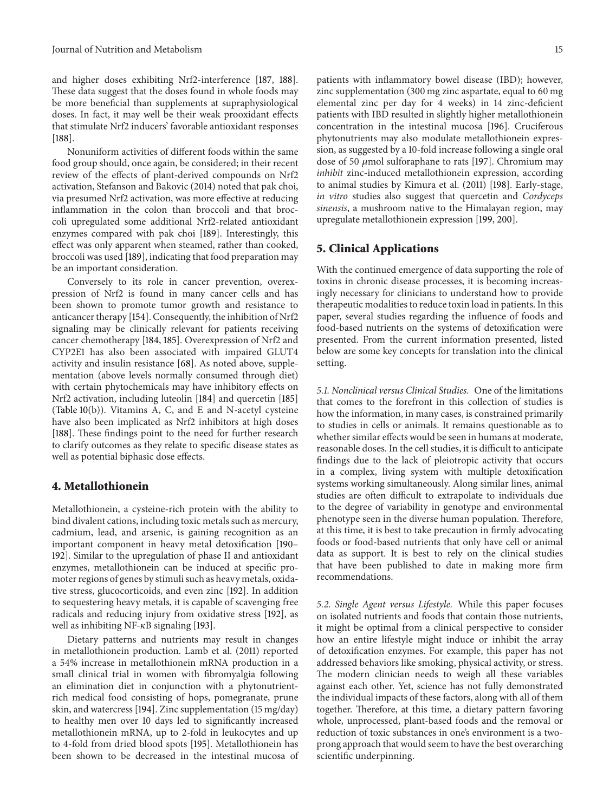and higher doses exhibiting Nrf2-interference [187, 188]. These data suggest that the doses found in whole foods may be more beneficial than supplements at supraphysiological doses. In fact, it may well be their weak prooxidant effects that stimulate Nrf2 inducers' favorable antioxidant responses [188].

Nonuniform activities of different foods within the same food group should, once again, be considered; in their recent review of the effects of plant-derived compounds on Nrf2 activation, Stefanson and Bakovic (2014) noted that pak choi, via presumed Nrf2 activation, was more effective at reducing inflammation in the colon than broccoli and that broccoli upregulated some additional Nrf2-related antioxidant enzymes compared with pak choi [189]. Interestingly, this effect was only apparent when steamed, rather than cooked, broccoli was used [189], indicating that food preparation may be an important consideration.

Conversely to its role in cancer prevention, overexpression of Nrf2 is found in many cancer cells and has been shown to promote tumor growth and resistance to anticancer therapy [154]. Consequently, the inhibition of Nrf2 signaling may be clinically relevant for patients receiving cancer chemotherapy [184, 185]. Overexpression of Nrf2 and CYP2E1 has also been associated with impaired GLUT4 activity and insulin resistance [68]. As noted above, supplementation (above levels normally consumed through diet) with certain phytochemicals may have inhibitory effects on Nrf2 activation, including luteolin [184] and quercetin [185] (Table 10(b)). Vitamins A, C, and E and N-acetyl cysteine have also been implicated as Nrf2 inhibitors at high doses [188]. These findings point to the need for further research to clarify outcomes as they relate to specific disease states as well as potential biphasic dose effects.

### **4. Metallothionein**

Metallothionein, a cysteine-rich protein with the ability to bind divalent cations, including toxic metals such as mercury, cadmium, lead, and arsenic, is gaining recognition as an important component in heavy metal detoxification [190– 192]. Similar to the upregulation of phase II and antioxidant enzymes, metallothionein can be induced at specific promoter regions of genes by stimuli such as heavy metals, oxidative stress, glucocorticoids, and even zinc [192]. In addition to sequestering heavy metals, it is capable of scavenging free radicals and reducing injury from oxidative stress [192], as well as inhibiting NF- $\kappa$ B signaling [193].

Dietary patterns and nutrients may result in changes in metallothionein production. Lamb et al. (2011) reported a 54% increase in metallothionein mRNA production in a small clinical trial in women with fibromyalgia following an elimination diet in conjunction with a phytonutrientrich medical food consisting of hops, pomegranate, prune skin, and watercress [194]. Zinc supplementation (15 mg/day) to healthy men over 10 days led to significantly increased metallothionein mRNA, up to 2-fold in leukocytes and up to 4-fold from dried blood spots [195]. Metallothionein has been shown to be decreased in the intestinal mucosa of

patients with inflammatory bowel disease (IBD); however, zinc supplementation (300 mg zinc aspartate, equal to 60 mg elemental zinc per day for 4 weeks) in 14 zinc-deficient patients with IBD resulted in slightly higher metallothionein concentration in the intestinal mucosa [196]. Cruciferous phytonutrients may also modulate metallothionein expression, as suggested by a 10-fold increase following a single oral dose of 50  $\mu$ mol sulforaphane to rats [197]. Chromium may *inhibit* zinc-induced metallothionein expression, according to animal studies by Kimura et al. (2011) [198]. Early-stage, *in vitro* studies also suggest that quercetin and *Cordyceps sinensis*, a mushroom native to the Himalayan region, may upregulate metallothionein expression [199, 200].

#### **5. Clinical Applications**

With the continued emergence of data supporting the role of toxins in chronic disease processes, it is becoming increasingly necessary for clinicians to understand how to provide therapeutic modalities to reduce toxin load in patients. In this paper, several studies regarding the influence of foods and food-based nutrients on the systems of detoxification were presented. From the current information presented, listed below are some key concepts for translation into the clinical setting.

*5.1. Nonclinical versus Clinical Studies.* One of the limitations that comes to the forefront in this collection of studies is how the information, in many cases, is constrained primarily to studies in cells or animals. It remains questionable as to whether similar effects would be seen in humans at moderate, reasonable doses. In the cell studies, it is difficult to anticipate findings due to the lack of pleiotropic activity that occurs in a complex, living system with multiple detoxification systems working simultaneously. Along similar lines, animal studies are often difficult to extrapolate to individuals due to the degree of variability in genotype and environmental phenotype seen in the diverse human population. Therefore, at this time, it is best to take precaution in firmly advocating foods or food-based nutrients that only have cell or animal data as support. It is best to rely on the clinical studies that have been published to date in making more firm recommendations.

*5.2. Single Agent versus Lifestyle.* While this paper focuses on isolated nutrients and foods that contain those nutrients, it might be optimal from a clinical perspective to consider how an entire lifestyle might induce or inhibit the array of detoxification enzymes. For example, this paper has not addressed behaviors like smoking, physical activity, or stress. The modern clinician needs to weigh all these variables against each other. Yet, science has not fully demonstrated the individual impacts of these factors, along with all of them together. Therefore, at this time, a dietary pattern favoring whole, unprocessed, plant-based foods and the removal or reduction of toxic substances in one's environment is a twoprong approach that would seem to have the best overarching scientific underpinning.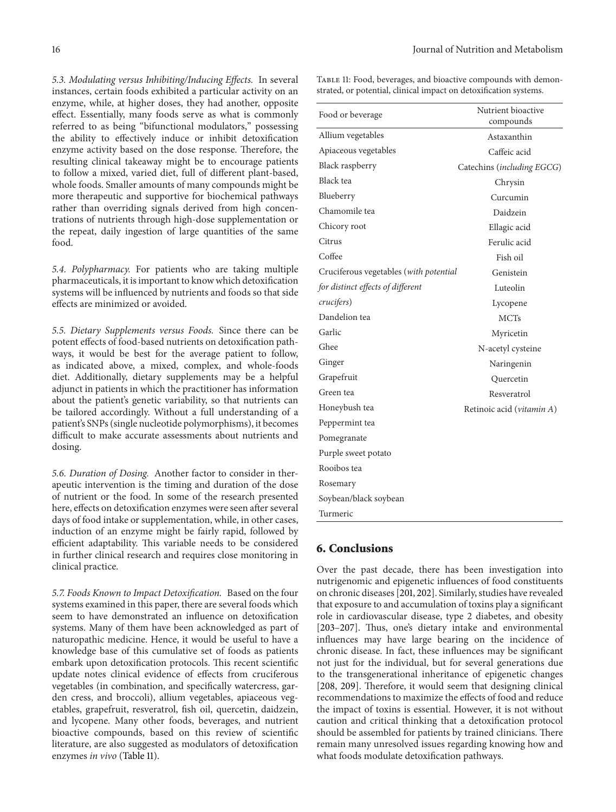*5.3. Modulating versus Inhibiting/Inducing Effects.* In several instances, certain foods exhibited a particular activity on an enzyme, while, at higher doses, they had another, opposite effect. Essentially, many foods serve as what is commonly referred to as being "bifunctional modulators," possessing the ability to effectively induce or inhibit detoxification enzyme activity based on the dose response. Therefore, the resulting clinical takeaway might be to encourage patients to follow a mixed, varied diet, full of different plant-based, whole foods. Smaller amounts of many compounds might be more therapeutic and supportive for biochemical pathways rather than overriding signals derived from high concentrations of nutrients through high-dose supplementation or the repeat, daily ingestion of large quantities of the same food.

*5.4. Polypharmacy.* For patients who are taking multiple pharmaceuticals, it is important to know which detoxification systems will be influenced by nutrients and foods so that side effects are minimized or avoided.

*5.5. Dietary Supplements versus Foods.* Since there can be potent effects of food-based nutrients on detoxification pathways, it would be best for the average patient to follow, as indicated above, a mixed, complex, and whole-foods diet. Additionally, dietary supplements may be a helpful adjunct in patients in which the practitioner has information about the patient's genetic variability, so that nutrients can be tailored accordingly. Without a full understanding of a patient's SNPs (single nucleotide polymorphisms), it becomes difficult to make accurate assessments about nutrients and dosing.

*5.6. Duration of Dosing.* Another factor to consider in therapeutic intervention is the timing and duration of the dose of nutrient or the food. In some of the research presented here, effects on detoxification enzymes were seen after several days of food intake or supplementation, while, in other cases, induction of an enzyme might be fairly rapid, followed by efficient adaptability. This variable needs to be considered in further clinical research and requires close monitoring in clinical practice.

*5.7. Foods Known to Impact Detoxification.* Based on the four systems examined in this paper, there are several foods which seem to have demonstrated an influence on detoxification systems. Many of them have been acknowledged as part of naturopathic medicine. Hence, it would be useful to have a knowledge base of this cumulative set of foods as patients embark upon detoxification protocols. This recent scientific update notes clinical evidence of effects from cruciferous vegetables (in combination, and specifically watercress, garden cress, and broccoli), allium vegetables, apiaceous vegetables, grapefruit, resveratrol, fish oil, quercetin, daidzein, and lycopene. Many other foods, beverages, and nutrient bioactive compounds, based on this review of scientific literature, are also suggested as modulators of detoxification enzymes *in vivo* (Table 11).

TABLE 11: Food, beverages, and bioactive compounds with demonstrated, or potential, clinical impact on detoxification systems.

| Food or beverage                       | Nutrient bioactive<br>compounds |  |  |
|----------------------------------------|---------------------------------|--|--|
| Allium vegetables                      | Astaxanthin                     |  |  |
| Apiaceous vegetables                   | Caffeic acid                    |  |  |
| Black raspberry                        | Catechins (including EGCG)      |  |  |
| Black tea                              | Chrysin                         |  |  |
| Blueberry                              | Curcumin                        |  |  |
| Chamomile tea                          | Daidzein                        |  |  |
| Chicory root                           | Ellagic acid                    |  |  |
| Citrus                                 | Ferulic acid                    |  |  |
| Coffee                                 | Fish oil                        |  |  |
| Cruciferous vegetables (with potential | Genistein                       |  |  |
| for distinct effects of different      | Luteolin                        |  |  |
| crucifers)                             | Lycopene                        |  |  |
| Dandelion tea                          | <b>MCTs</b>                     |  |  |
| Garlic                                 | Myricetin                       |  |  |
| Ghee                                   | N-acetyl cysteine               |  |  |
| Ginger                                 | Naringenin                      |  |  |
| Grapefruit                             | Quercetin                       |  |  |
| Green tea                              | Resveratrol                     |  |  |
| Honeybush tea                          | Retinoic acid (vitamin A)       |  |  |
| Peppermint tea                         |                                 |  |  |
| Pomegranate                            |                                 |  |  |
| Purple sweet potato                    |                                 |  |  |
| Rooibos tea                            |                                 |  |  |
| Rosemary                               |                                 |  |  |
| Soybean/black soybean                  |                                 |  |  |
| Turmeric                               |                                 |  |  |
|                                        |                                 |  |  |

### **6. Conclusions**

Over the past decade, there has been investigation into nutrigenomic and epigenetic influences of food constituents on chronic diseases [201, 202]. Similarly, studies have revealed that exposure to and accumulation of toxins play a significant role in cardiovascular disease, type 2 diabetes, and obesity [203–207]. Thus, one's dietary intake and environmental influences may have large bearing on the incidence of chronic disease. In fact, these influences may be significant not just for the individual, but for several generations due to the transgenerational inheritance of epigenetic changes [208, 209]. Therefore, it would seem that designing clinical recommendations to maximize the effects of food and reduce the impact of toxins is essential. However, it is not without caution and critical thinking that a detoxification protocol should be assembled for patients by trained clinicians. There remain many unresolved issues regarding knowing how and what foods modulate detoxification pathways.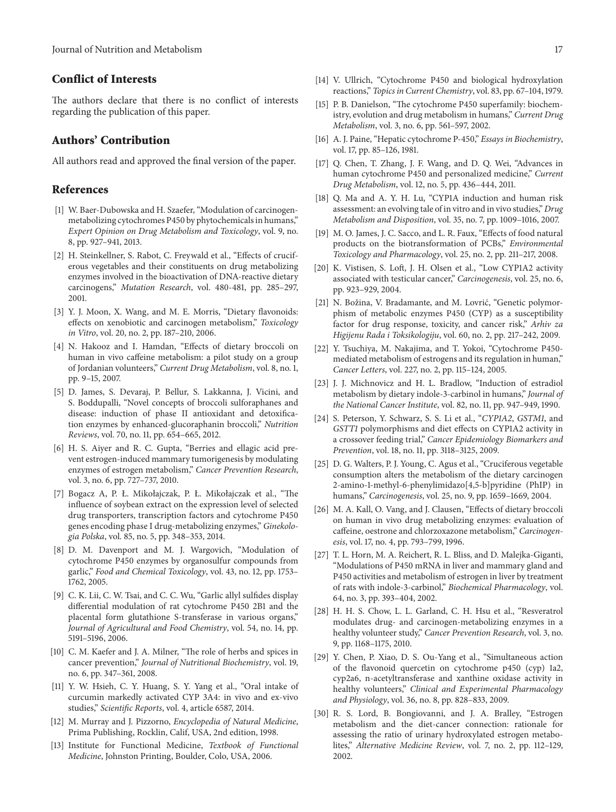## **Conflict of Interests**

The authors declare that there is no conflict of interests regarding the publication of this paper.

#### **Authors' Contribution**

All authors read and approved the final version of the paper.

#### **References**

- [1] W. Baer-Dubowska and H. Szaefer, "Modulation of carcinogenmetabolizing cytochromes P450 by phytochemicals in humans," *Expert Opinion on Drug Metabolism and Toxicology*, vol. 9, no. 8, pp. 927–941, 2013.
- [2] H. Steinkellner, S. Rabot, C. Freywald et al., "Effects of cruciferous vegetables and their constituents on drug metabolizing enzymes involved in the bioactivation of DNA-reactive dietary carcinogens," *Mutation Research*, vol. 480-481, pp. 285–297, 2001.
- [3] Y. J. Moon, X. Wang, and M. E. Morris, "Dietary flavonoids: effects on xenobiotic and carcinogen metabolism," *Toxicology in Vitro*, vol. 20, no. 2, pp. 187–210, 2006.
- [4] N. Hakooz and I. Hamdan, "Effects of dietary broccoli on human in vivo caffeine metabolism: a pilot study on a group of Jordanian volunteers," *Current Drug Metabolism*, vol. 8, no. 1, pp. 9–15, 2007.
- [5] D. James, S. Devaraj, P. Bellur, S. Lakkanna, J. Vicini, and S. Boddupalli, "Novel concepts of broccoli sulforaphanes and disease: induction of phase II antioxidant and detoxification enzymes by enhanced-glucoraphanin broccoli," *Nutrition Reviews*, vol. 70, no. 11, pp. 654–665, 2012.
- [6] H. S. Aiyer and R. C. Gupta, "Berries and ellagic acid prevent estrogen-induced mammary tumorigenesis by modulating enzymes of estrogen metabolism," *Cancer Prevention Research*, vol. 3, no. 6, pp. 727–737, 2010.
- [7] Bogacz A, P. Ł. Mikołajczak, P. Ł. Mikołajczak et al., "The influence of soybean extract on the expression level of selected drug transporters, transcription factors and cytochrome P450 genes encoding phase I drug-metabolizing enzymes," *Ginekologia Polska*, vol. 85, no. 5, pp. 348–353, 2014.
- [8] D. M. Davenport and M. J. Wargovich, "Modulation of cytochrome P450 enzymes by organosulfur compounds from garlic," *Food and Chemical Toxicology*, vol. 43, no. 12, pp. 1753– 1762, 2005.
- [9] C. K. Lii, C. W. Tsai, and C. C. Wu, "Garlic allyl sulfides display differential modulation of rat cytochrome P450 2B1 and the placental form glutathione S-transferase in various organs," *Journal of Agricultural and Food Chemistry*, vol. 54, no. 14, pp. 5191–5196, 2006.
- [10] C. M. Kaefer and J. A. Milner, "The role of herbs and spices in cancer prevention," *Journal of Nutritional Biochemistry*, vol. 19, no. 6, pp. 347–361, 2008.
- [11] Y. W. Hsieh, C. Y. Huang, S. Y. Yang et al., "Oral intake of curcumin markedly activated CYP 3A4: in vivo and ex-vivo studies," *Scientific Reports*, vol. 4, article 6587, 2014.
- [12] M. Murray and J. Pizzorno, *Encyclopedia of Natural Medicine*, Prima Publishing, Rocklin, Calif, USA, 2nd edition, 1998.
- [13] Institute for Functional Medicine, *Textbook of Functional Medicine*, Johnston Printing, Boulder, Colo, USA, 2006.
- [14] V. Ullrich, "Cytochrome P450 and biological hydroxylation reactions," *Topics in Current Chemistry*, vol. 83, pp. 67–104, 1979.
- [15] P. B. Danielson, "The cytochrome P450 superfamily: biochemistry, evolution and drug metabolism in humans," *Current Drug Metabolism*, vol. 3, no. 6, pp. 561–597, 2002.
- [16] A. J. Paine, "Hepatic cytochrome P-450," *Essays in Biochemistry*, vol. 17, pp. 85–126, 1981.
- [17] Q. Chen, T. Zhang, J. F. Wang, and D. Q. Wei, "Advances in human cytochrome P450 and personalized medicine," *Current Drug Metabolism*, vol. 12, no. 5, pp. 436–444, 2011.
- [18] Q. Ma and A. Y. H. Lu, "CYP1A induction and human risk assessment: an evolving tale of in vitro and in vivo studies," *Drug Metabolism and Disposition*, vol. 35, no. 7, pp. 1009–1016, 2007.
- [19] M. O. James, J. C. Sacco, and L. R. Faux, "Effects of food natural products on the biotransformation of PCBs," *Environmental Toxicology and Pharmacology*, vol. 25, no. 2, pp. 211–217, 2008.
- [20] K. Vistisen, S. Loft, J. H. Olsen et al., "Low CYP1A2 activity associated with testicular cancer," *Carcinogenesis*, vol. 25, no. 6, pp. 923–929, 2004.
- [21] N. Božina, V. Bradamante, and M. Lovrić, "Genetic polymorphism of metabolic enzymes P450 (CYP) as a susceptibility factor for drug response, toxicity, and cancer risk," *Arhiv za Higijenu Rada i Toksikologiju*, vol. 60, no. 2, pp. 217–242, 2009.
- [22] Y. Tsuchiya, M. Nakajima, and T. Yokoi, "Cytochrome P450 mediated metabolism of estrogens and its regulation in human," *Cancer Letters*, vol. 227, no. 2, pp. 115–124, 2005.
- [23] J. J. Michnovicz and H. L. Bradlow, "Induction of estradiol metabolism by dietary indole-3-carbinol in humans," *Journal of the National Cancer Institute*, vol. 82, no. 11, pp. 947–949, 1990.
- [24] S. Peterson, Y. Schwarz, S. S. Li et al., "*CYP1A2*, *GSTM1*, and *GSTT1* polymorphisms and diet effects on CYP1A2 activity in a crossover feeding trial," *Cancer Epidemiology Biomarkers and Prevention*, vol. 18, no. 11, pp. 3118–3125, 2009.
- [25] D. G. Walters, P. J. Young, C. Agus et al., "Cruciferous vegetable consumption alters the metabolism of the dietary carcinogen 2-amino-1-methyl-6-phenylimidazo[4,5-b]pyridine (PhIP) in humans," *Carcinogenesis*, vol. 25, no. 9, pp. 1659–1669, 2004.
- [26] M. A. Kall, O. Vang, and J. Clausen, "Effects of dietary broccoli on human in vivo drug metabolizing enzymes: evaluation of caffeine, oestrone and chlorzoxazone metabolism," *Carcinogenesis*, vol. 17, no. 4, pp. 793–799, 1996.
- [27] T. L. Horn, M. A. Reichert, R. L. Bliss, and D. Malejka-Giganti, "Modulations of P450 mRNA in liver and mammary gland and P450 activities and metabolism of estrogen in liver by treatment of rats with indole-3-carbinol," *Biochemical Pharmacology*, vol. 64, no. 3, pp. 393–404, 2002.
- [28] H. H. S. Chow, L. L. Garland, C. H. Hsu et al., "Resveratrol modulates drug- and carcinogen-metabolizing enzymes in a healthy volunteer study," *Cancer Prevention Research*, vol. 3, no. 9, pp. 1168–1175, 2010.
- [29] Y. Chen, P. Xiao, D. S. Ou-Yang et al., "Simultaneous action of the flavonoid quercetin on cytochrome p450 (cyp) 1a2, cyp2a6, n-acetyltransferase and xanthine oxidase activity in healthy volunteers," *Clinical and Experimental Pharmacology and Physiology*, vol. 36, no. 8, pp. 828–833, 2009.
- [30] R. S. Lord, B. Bongiovanni, and J. A. Bralley, "Estrogen metabolism and the diet-cancer connection: rationale for assessing the ratio of urinary hydroxylated estrogen metabolites," *Alternative Medicine Review*, vol. 7, no. 2, pp. 112–129, 2002.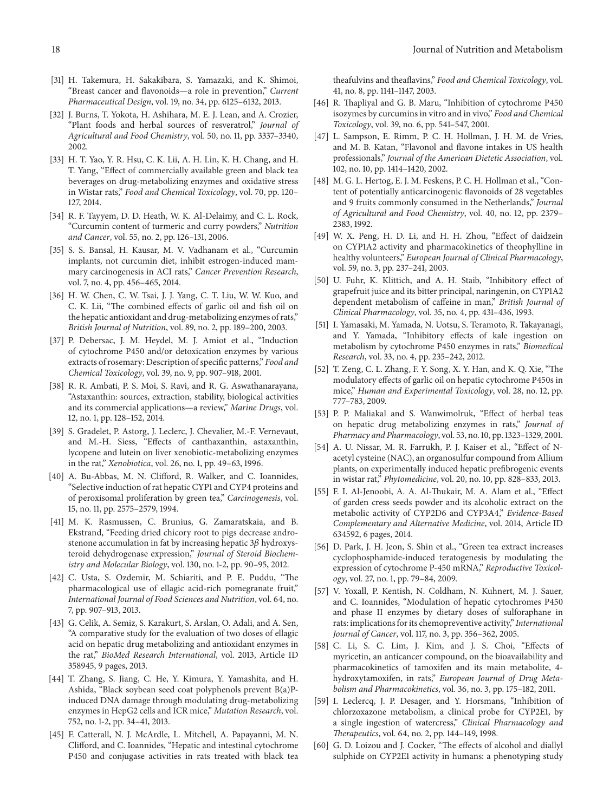- [31] H. Takemura, H. Sakakibara, S. Yamazaki, and K. Shimoi, "Breast cancer and flavonoids—a role in prevention," *Current Pharmaceutical Design*, vol. 19, no. 34, pp. 6125–6132, 2013.
- [32] J. Burns, T. Yokota, H. Ashihara, M. E. J. Lean, and A. Crozier, "Plant foods and herbal sources of resveratrol," *Journal of Agricultural and Food Chemistry*, vol. 50, no. 11, pp. 3337–3340, 2002.
- [33] H. T. Yao, Y. R. Hsu, C. K. Lii, A. H. Lin, K. H. Chang, and H. T. Yang, "Effect of commercially available green and black tea beverages on drug-metabolizing enzymes and oxidative stress in Wistar rats," *Food and Chemical Toxicology*, vol. 70, pp. 120– 127, 2014.
- [34] R. F. Tayyem, D. D. Heath, W. K. Al-Delaimy, and C. L. Rock, "Curcumin content of turmeric and curry powders," *Nutrition and Cancer*, vol. 55, no. 2, pp. 126–131, 2006.
- [35] S. S. Bansal, H. Kausar, M. V. Vadhanam et al., "Curcumin implants, not curcumin diet, inhibit estrogen-induced mammary carcinogenesis in ACI rats," *Cancer Prevention Research*, vol. 7, no. 4, pp. 456–465, 2014.
- [36] H. W. Chen, C. W. Tsai, J. J. Yang, C. T. Liu, W. W. Kuo, and C. K. Lii, "The combined effects of garlic oil and fish oil on the hepatic antioxidant and drug-metabolizing enzymes of rats," *British Journal of Nutrition*, vol. 89, no. 2, pp. 189–200, 2003.
- [37] P. Debersac, J. M. Heydel, M. J. Amiot et al., "Induction of cytochrome P450 and/or detoxication enzymes by various extracts of rosemary: Description of specific patterns," *Food and Chemical Toxicology*, vol. 39, no. 9, pp. 907–918, 2001.
- [38] R. R. Ambati, P. S. Moi, S. Ravi, and R. G. Aswathanarayana, "Astaxanthin: sources, extraction, stability, biological activities and its commercial applications—a review," *Marine Drugs*, vol. 12, no. 1, pp. 128–152, 2014.
- [39] S. Gradelet, P. Astorg, J. Leclerc, J. Chevalier, M.-F. Vernevaut, and M.-H. Siess, "Effects of canthaxanthin, astaxanthin, lycopene and lutein on liver xenobiotic-metabolizing enzymes in the rat," *Xenobiotica*, vol. 26, no. 1, pp. 49–63, 1996.
- [40] A. Bu-Abbas, M. N. Clifford, R. Walker, and C. Ioannides, "Selective induction of rat hepatic CYP1 and CYP4 proteins and of peroxisomal proliferation by green tea," *Carcinogenesis*, vol. 15, no. 11, pp. 2575–2579, 1994.
- [41] M. K. Rasmussen, C. Brunius, G. Zamaratskaia, and B. Ekstrand, "Feeding dried chicory root to pigs decrease androstenone accumulation in fat by increasing hepatic  $3\beta$  hydroxysteroid dehydrogenase expression," *Journal of Steroid Biochemistry and Molecular Biology*, vol. 130, no. 1-2, pp. 90–95, 2012.
- [42] C. Usta, S. Ozdemir, M. Schiariti, and P. E. Puddu, "The pharmacological use of ellagic acid-rich pomegranate fruit," *International Journal of Food Sciences and Nutrition*, vol. 64, no. 7, pp. 907–913, 2013.
- [43] G. Celik, A. Semiz, S. Karakurt, S. Arslan, O. Adali, and A. Sen, "A comparative study for the evaluation of two doses of ellagic acid on hepatic drug metabolizing and antioxidant enzymes in the rat," *BioMed Research International*, vol. 2013, Article ID 358945, 9 pages, 2013.
- [44] T. Zhang, S. Jiang, C. He, Y. Kimura, Y. Yamashita, and H. Ashida, "Black soybean seed coat polyphenols prevent B(a)Pinduced DNA damage through modulating drug-metabolizing enzymes in HepG2 cells and ICR mice," *Mutation Research*, vol. 752, no. 1-2, pp. 34–41, 2013.
- [45] F. Catterall, N. J. McArdle, L. Mitchell, A. Papayanni, M. N. Clifford, and C. Ioannides, "Hepatic and intestinal cytochrome P450 and conjugase activities in rats treated with black tea

theafulvins and theaflavins," *Food and Chemical Toxicology*, vol. 41, no. 8, pp. 1141–1147, 2003.

- [46] R. Thapliyal and G. B. Maru, "Inhibition of cytochrome P450 isozymes by curcumins in vitro and in vivo," *Food and Chemical Toxicology*, vol. 39, no. 6, pp. 541–547, 2001.
- [47] L. Sampson, E. Rimm, P. C. H. Hollman, J. H. M. de Vries, and M. B. Katan, "Flavonol and flavone intakes in US health professionals," *Journal of the American Dietetic Association*, vol. 102, no. 10, pp. 1414–1420, 2002.
- [48] M. G. L. Hertog, E. J. M. Feskens, P. C. H. Hollman et al., "Content of potentially anticarcinogenic flavonoids of 28 vegetables and 9 fruits commonly consumed in the Netherlands," *Journal of Agricultural and Food Chemistry*, vol. 40, no. 12, pp. 2379– 2383, 1992.
- [49] W. X. Peng, H. D. Li, and H. H. Zhou, "Effect of daidzein on CYP1A2 activity and pharmacokinetics of theophylline in healthy volunteers," *European Journal of Clinical Pharmacology*, vol. 59, no. 3, pp. 237–241, 2003.
- [50] U. Fuhr, K. Klittich, and A. H. Staib, "Inhibitory effect of grapefruit juice and its bitter principal, naringenin, on CYP1A2 dependent metabolism of caffeine in man," *British Journal of Clinical Pharmacology*, vol. 35, no. 4, pp. 431–436, 1993.
- [51] I. Yamasaki, M. Yamada, N. Uotsu, S. Teramoto, R. Takayanagi, and Y. Yamada, "Inhibitory effects of kale ingestion on metabolism by cytochrome P450 enzymes in rats," *Biomedical Research*, vol. 33, no. 4, pp. 235–242, 2012.
- [52] T. Zeng, C. L. Zhang, F. Y. Song, X. Y. Han, and K. Q. Xie, "The modulatory effects of garlic oil on hepatic cytochrome P450s in mice," *Human and Experimental Toxicology*, vol. 28, no. 12, pp. 777–783, 2009.
- [53] P. P. Maliakal and S. Wanwimolruk, "Effect of herbal teas on hepatic drug metabolizing enzymes in rats," *Journal of Pharmacy and Pharmacology*, vol. 53, no. 10, pp. 1323–1329, 2001.
- [54] A. U. Nissar, M. R. Farrukh, P. J. Kaiser et al., "Effect of Nacetyl cysteine (NAC), an organosulfur compound from Allium plants, on experimentally induced hepatic prefibrogenic events in wistar rat," *Phytomedicine*, vol. 20, no. 10, pp. 828–833, 2013.
- [55] F. I. Al-Jenoobi, A. A. Al-Thukair, M. A. Alam et al., "Effect of garden cress seeds powder and its alcoholic extract on the metabolic activity of CYP2D6 and CYP3A4," *Evidence-Based Complementary and Alternative Medicine*, vol. 2014, Article ID 634592, 6 pages, 2014.
- [56] D. Park, J. H. Jeon, S. Shin et al., "Green tea extract increases cyclophosphamide-induced teratogenesis by modulating the expression of cytochrome P-450 mRNA," *Reproductive Toxicology*, vol. 27, no. 1, pp. 79–84, 2009.
- [57] V. Yoxall, P. Kentish, N. Coldham, N. Kuhnert, M. J. Sauer, and C. Ioannides, "Modulation of hepatic cytochromes P450 and phase II enzymes by dietary doses of sulforaphane in rats: implications for its chemopreventive activity," *International Journal of Cancer*, vol. 117, no. 3, pp. 356–362, 2005.
- [58] C. Li, S. C. Lim, J. Kim, and J. S. Choi, "Effects of myricetin, an anticancer compound, on the bioavailability and pharmacokinetics of tamoxifen and its main metabolite, 4 hydroxytamoxifen, in rats," *European Journal of Drug Metabolism and Pharmacokinetics*, vol. 36, no. 3, pp. 175–182, 2011.
- [59] I. Leclercq, J. P. Desager, and Y. Horsmans, "Inhibition of chlorzoxazone metabolism, a clinical probe for CYP2E1, by a single ingestion of watercress," *Clinical Pharmacology and Therapeutics*, vol. 64, no. 2, pp. 144–149, 1998.
- [60] G. D. Loizou and J. Cocker, "The effects of alcohol and diallyl sulphide on CYP2E1 activity in humans: a phenotyping study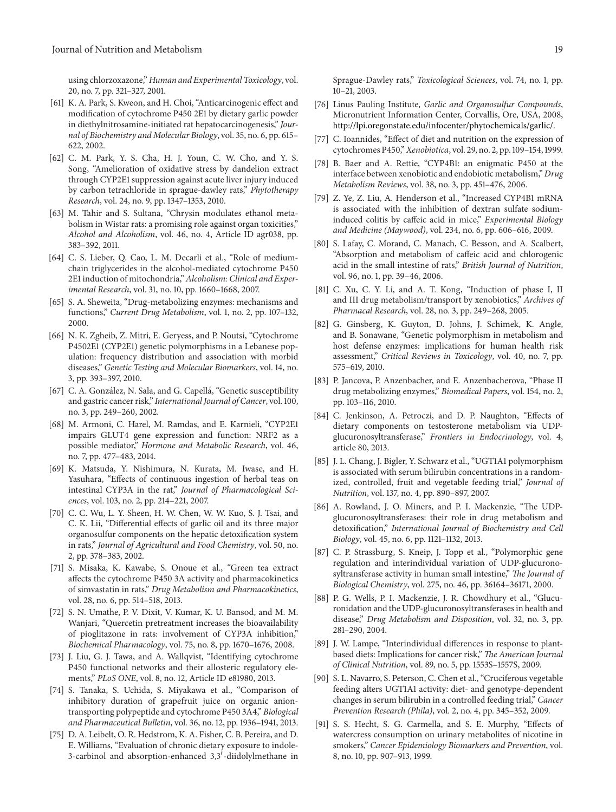using chlorzoxazone," *Human and Experimental Toxicology*, vol. 20, no. 7, pp. 321–327, 2001.

- [61] K. A. Park, S. Kweon, and H. Choi, "Anticarcinogenic effect and modification of cytochrome P450 2E1 by dietary garlic powder in diethylnitrosamine-initiated rat hepatocarcinogenesis," *Journal of Biochemistry and Molecular Biology*, vol. 35, no. 6, pp. 615– 622, 2002.
- [62] C. M. Park, Y. S. Cha, H. J. Youn, C. W. Cho, and Y. S. Song, "Amelioration of oxidative stress by dandelion extract through CYP2E1 suppression against acute liver injury induced by carbon tetrachloride in sprague-dawley rats," *Phytotherapy Research*, vol. 24, no. 9, pp. 1347–1353, 2010.
- [63] M. Tahir and S. Sultana, "Chrysin modulates ethanol metabolism in Wistar rats: a promising role against organ toxicities," *Alcohol and Alcoholism*, vol. 46, no. 4, Article ID agr038, pp. 383–392, 2011.
- [64] C. S. Lieber, Q. Cao, L. M. Decarli et al., "Role of mediumchain triglycerides in the alcohol-mediated cytochrome P450 2E1 induction of mitochondria," *Alcoholism: Clinical and Experimental Research*, vol. 31, no. 10, pp. 1660–1668, 2007.
- [65] S. A. Sheweita, "Drug-metabolizing enzymes: mechanisms and functions," *Current Drug Metabolism*, vol. 1, no. 2, pp. 107–132, 2000.
- [66] N. K. Zgheib, Z. Mitri, E. Geryess, and P. Noutsi, "Cytochrome P4502E1 (CYP2E1) genetic polymorphisms in a Lebanese population: frequency distribution and association with morbid diseases," *Genetic Testing and Molecular Biomarkers*, vol. 14, no. 3, pp. 393–397, 2010.
- [67] C. A. González, N. Sala, and G. Capellá, "Genetic susceptibility and gastric cancer risk," *International Journal of Cancer*, vol. 100, no. 3, pp. 249–260, 2002.
- [68] M. Armoni, C. Harel, M. Ramdas, and E. Karnieli, "CYP2E1 impairs GLUT4 gene expression and function: NRF2 as a possible mediator," *Hormone and Metabolic Research*, vol. 46, no. 7, pp. 477–483, 2014.
- [69] K. Matsuda, Y. Nishimura, N. Kurata, M. Iwase, and H. Yasuhara, "Effects of continuous ingestion of herbal teas on intestinal CYP3A in the rat," *Journal of Pharmacological Sciences*, vol. 103, no. 2, pp. 214–221, 2007.
- [70] C. C. Wu, L. Y. Sheen, H. W. Chen, W. W. Kuo, S. J. Tsai, and C. K. Lii, "Differential effects of garlic oil and its three major organosulfur components on the hepatic detoxification system in rats," *Journal of Agricultural and Food Chemistry*, vol. 50, no. 2, pp. 378–383, 2002.
- [71] S. Misaka, K. Kawabe, S. Onoue et al., "Green tea extract affects the cytochrome P450 3A activity and pharmacokinetics of simvastatin in rats," *Drug Metabolism and Pharmacokinetics*, vol. 28, no. 6, pp. 514–518, 2013.
- [72] S. N. Umathe, P. V. Dixit, V. Kumar, K. U. Bansod, and M. M. Wanjari, "Quercetin pretreatment increases the bioavailability of pioglitazone in rats: involvement of CYP3A inhibition," *Biochemical Pharmacology*, vol. 75, no. 8, pp. 1670–1676, 2008.
- [73] J. Liu, G. J. Tawa, and A. Wallqvist, "Identifying cytochrome P450 functional networks and their allosteric regulatory elements," *PLoS ONE*, vol. 8, no. 12, Article ID e81980, 2013.
- [74] S. Tanaka, S. Uchida, S. Miyakawa et al., "Comparison of inhibitory duration of grapefruit juice on organic aniontransporting polypeptide and cytochrome P450 3A4," *Biological and Pharmaceutical Bulletin*, vol. 36, no. 12, pp. 1936–1941, 2013.
- [75] D. A. Leibelt, O. R. Hedstrom, K. A. Fisher, C. B. Pereira, and D. E. Williams, "Evaluation of chronic dietary exposure to indole-3-carbinol and absorption-enhanced  $3,3'$ -diidolylmethane in

Sprague-Dawley rats," *Toxicological Sciences*, vol. 74, no. 1, pp. 10–21, 2003.

- [76] Linus Pauling Institute, *Garlic and Organosulfur Compounds*, Micronutrient Information Center, Corvallis, Ore, USA, 2008, http://lpi.oregonstate.edu/infocenter/phytochemicals/garlic/.
- [77] C. Ioannides, "Effect of diet and nutrition on the expression of cytochromes P450,"*Xenobiotica*, vol. 29, no. 2, pp. 109–154, 1999.
- [78] B. Baer and A. Rettie, "CYP4B1: an enigmatic P450 at the interface between xenobiotic and endobiotic metabolism," *Drug Metabolism Reviews*, vol. 38, no. 3, pp. 451–476, 2006.
- [79] Z. Ye, Z. Liu, A. Henderson et al., "Increased CYP4B1 mRNA is associated with the inhibition of dextran sulfate sodiuminduced colitis by caffeic acid in mice," *Experimental Biology and Medicine (Maywood)*, vol. 234, no. 6, pp. 606–616, 2009.
- [80] S. Lafay, C. Morand, C. Manach, C. Besson, and A. Scalbert, "Absorption and metabolism of caffeic acid and chlorogenic acid in the small intestine of rats," *British Journal of Nutrition*, vol. 96, no. 1, pp. 39–46, 2006.
- [81] C. Xu, C. Y. Li, and A. T. Kong, "Induction of phase I, II and III drug metabolism/transport by xenobiotics," *Archives of Pharmacal Research*, vol. 28, no. 3, pp. 249–268, 2005.
- [82] G. Ginsberg, K. Guyton, D. Johns, J. Schimek, K. Angle, and B. Sonawane, "Genetic polymorphism in metabolism and host defense enzymes: implications for human health risk assessment," *Critical Reviews in Toxicology*, vol. 40, no. 7, pp. 575–619, 2010.
- [83] P. Jancova, P. Anzenbacher, and E. Anzenbacherova, "Phase II drug metabolizing enzymes," *Biomedical Papers*, vol. 154, no. 2, pp. 103–116, 2010.
- [84] C. Jenkinson, A. Petroczi, and D. P. Naughton, "Effects of dietary components on testosterone metabolism via UDPglucuronosyltransferase," *Frontiers in Endocrinology*, vol. 4, article 80, 2013.
- [85] J. L. Chang, J. Bigler, Y. Schwarz et al., "UGT1A1 polymorphism is associated with serum bilirubin concentrations in a randomized, controlled, fruit and vegetable feeding trial," *Journal of Nutrition*, vol. 137, no. 4, pp. 890–897, 2007.
- [86] A. Rowland, J. O. Miners, and P. I. Mackenzie, "The UDPglucuronosyltransferases: their role in drug metabolism and detoxification," *International Journal of Biochemistry and Cell Biology*, vol. 45, no. 6, pp. 1121–1132, 2013.
- [87] C. P. Strassburg, S. Kneip, J. Topp et al., "Polymorphic gene regulation and interindividual variation of UDP-glucuronosyltransferase activity in human small intestine," *The Journal of Biological Chemistry*, vol. 275, no. 46, pp. 36164–36171, 2000.
- [88] P. G. Wells, P. I. Mackenzie, J. R. Chowdhury et al., "Glucuronidation and the UDP-glucuronosyltransferases in health and disease," *Drug Metabolism and Disposition*, vol. 32, no. 3, pp. 281–290, 2004.
- [89] J. W. Lampe, "Interindividual differences in response to plantbased diets: Implications for cancer risk," *The American Journal of Clinical Nutrition*, vol. 89, no. 5, pp. 1553S–1557S, 2009.
- [90] S. L. Navarro, S. Peterson, C. Chen et al., "Cruciferous vegetable feeding alters UGT1A1 activity: diet- and genotype-dependent changes in serum bilirubin in a controlled feeding trial," *Cancer Prevention Research (Phila)*, vol. 2, no. 4, pp. 345–352, 2009.
- [91] S. S. Hecht, S. G. Carmella, and S. E. Murphy, "Effects of watercress consumption on urinary metabolites of nicotine in smokers," *Cancer Epidemiology Biomarkers and Prevention*, vol. 8, no. 10, pp. 907–913, 1999.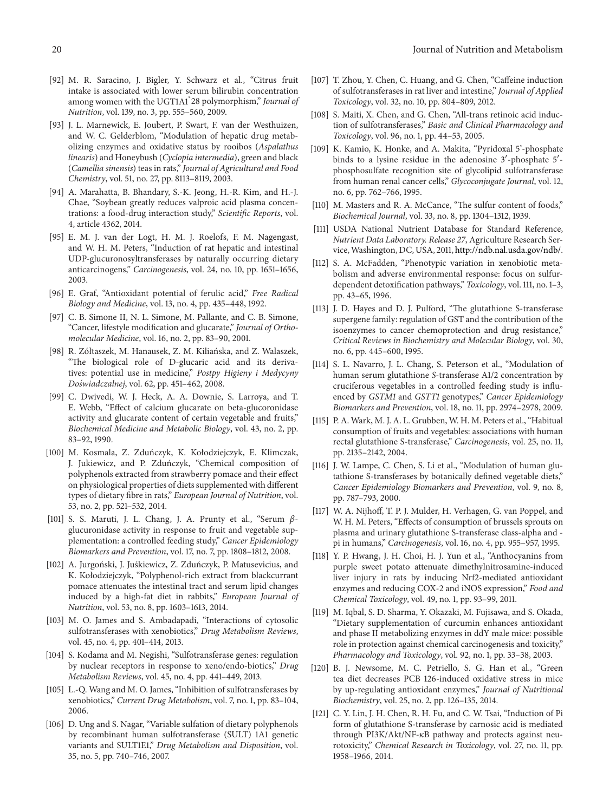- [92] M. R. Saracino, J. Bigler, Y. Schwarz et al., "Citrus fruit intake is associated with lower serum bilirubin concentration among women with the UGT1A1\* 28 polymorphism," *Journal of Nutrition*, vol. 139, no. 3, pp. 555–560, 2009.
- [93] J. L. Marnewick, E. Joubert, P. Swart, F. van der Westhuizen, and W. C. Gelderblom, "Modulation of hepatic drug metabolizing enzymes and oxidative status by rooibos (*Aspalathus linearis*) and Honeybush (*Cyclopia intermedia*), green and black (*Camellia sinensis*) teas in rats," *Journal of Agricultural and Food Chemistry*, vol. 51, no. 27, pp. 8113–8119, 2003.
- [94] A. Marahatta, B. Bhandary, S.-K. Jeong, H.-R. Kim, and H.-J. Chae, "Soybean greatly reduces valproic acid plasma concentrations: a food-drug interaction study," *Scientific Reports*, vol. 4, article 4362, 2014.
- [95] E. M. J. van der Logt, H. M. J. Roelofs, F. M. Nagengast, and W. H. M. Peters, "Induction of rat hepatic and intestinal UDP-glucuronosyltransferases by naturally occurring dietary anticarcinogens," *Carcinogenesis*, vol. 24, no. 10, pp. 1651–1656, 2003.
- [96] E. Graf, "Antioxidant potential of ferulic acid," *Free Radical Biology and Medicine*, vol. 13, no. 4, pp. 435–448, 1992.
- [97] C. B. Simone II, N. L. Simone, M. Pallante, and C. B. Simone, "Cancer, lifestyle modification and glucarate," *Journal of Orthomolecular Medicine*, vol. 16, no. 2, pp. 83–90, 2001.
- [98] R. Zółtaszek, M. Hanausek, Z. M. Kiliańska, and Z. Walaszek, "The biological role of D-glucaric acid and its derivatives: potential use in medicine," *Postpy Higieny i Medycyny Do´swiadczalnej*, vol. 62, pp. 451–462, 2008.
- [99] C. Dwivedi, W. J. Heck, A. A. Downie, S. Larroya, and T. E. Webb, "Effect of calcium glucarate on beta-glucoronidase activity and glucarate content of certain vegetable and fruits," *Biochemical Medicine and Metabolic Biology*, vol. 43, no. 2, pp. 83–92, 1990.
- [100] M. Kosmala, Z. Zdunczyk, K. Kołodziejczyk, E. Klimczak, ´ J. Jukiewicz, and P. Zduńczyk, "Chemical composition of polyphenols extracted from strawberry pomace and their effect on physiological properties of diets supplemented with different types of dietary fibre in rats," *European Journal of Nutrition*, vol. 53, no. 2, pp. 521–532, 2014.
- [101] S. S. Maruti, J. L. Chang, J. A. Prunty et al., "Serum  $\beta$ glucuronidase activity in response to fruit and vegetable supplementation: a controlled feeding study," *Cancer Epidemiology Biomarkers and Prevention*, vol. 17, no. 7, pp. 1808–1812, 2008.
- [102] A. Jurgoński, J. Juśkiewicz, Z. Zduńczyk, P. Matusevicius, and K. Kołodziejczyk, "Polyphenol-rich extract from blackcurrant pomace attenuates the intestinal tract and serum lipid changes induced by a high-fat diet in rabbits," *European Journal of Nutrition*, vol. 53, no. 8, pp. 1603–1613, 2014.
- [103] M. O. James and S. Ambadapadi, "Interactions of cytosolic sulfotransferases with xenobiotics," *Drug Metabolism Reviews*, vol. 45, no. 4, pp. 401–414, 2013.
- [104] S. Kodama and M. Negishi, "Sulfotransferase genes: regulation by nuclear receptors in response to xeno/endo-biotics," *Drug Metabolism Reviews*, vol. 45, no. 4, pp. 441–449, 2013.
- [105] L.-Q. Wang and M. O. James, "Inhibition of sulfotransferases by xenobiotics," *Current Drug Metabolism*, vol. 7, no. 1, pp. 83–104, 2006.
- [106] D. Ung and S. Nagar, "Variable sulfation of dietary polyphenols by recombinant human sulfotransferase (SULT) 1A1 genetic variants and SULT1E1," *Drug Metabolism and Disposition*, vol. 35, no. 5, pp. 740–746, 2007.
- [107] T. Zhou, Y. Chen, C. Huang, and G. Chen, "Caffeine induction of sulfotransferases in rat liver and intestine," *Journal of Applied Toxicology*, vol. 32, no. 10, pp. 804–809, 2012.
- [108] S. Maiti, X. Chen, and G. Chen, "All-trans retinoic acid induction of sulfotransferases," *Basic and Clinical Pharmacology and Toxicology*, vol. 96, no. 1, pp. 44–53, 2005.
- [109] K. Kamio, K. Honke, and A. Makita, "Pyridoxal 5'-phosphate binds to a lysine residue in the adenosine 3'-phosphate 5'phosphosulfate recognition site of glycolipid sulfotransferase from human renal cancer cells," *Glycoconjugate Journal*, vol. 12, no. 6, pp. 762–766, 1995.
- [110] M. Masters and R. A. McCance, "The sulfur content of foods," *Biochemical Journal*, vol. 33, no. 8, pp. 1304–1312, 1939.
- [111] USDA National Nutrient Database for Standard Reference, *Nutrient Data Laboratory. Release 27*, Agriculture Research Service,Washington, DC, USA, 2011, http://ndb.nal.usda.gov/ndb/.
- [112] S. A. McFadden, "Phenotypic variation in xenobiotic metabolism and adverse environmental response: focus on sulfurdependent detoxification pathways," *Toxicology*, vol. 111, no. 1–3, pp. 43–65, 1996.
- [113] J. D. Hayes and D. J. Pulford, "The glutathione S-transferase supergene family: regulation of GST and the contribution of the isoenzymes to cancer chemoprotection and drug resistance," *Critical Reviews in Biochemistry and Molecular Biology*, vol. 30, no. 6, pp. 445–600, 1995.
- [114] S. L. Navarro, J. L. Chang, S. Peterson et al., "Modulation of human serum glutathione *S*-transferase A1/2 concentration by cruciferous vegetables in a controlled feeding study is influenced by *GSTM1* and *GSTT1* genotypes," *Cancer Epidemiology Biomarkers and Prevention*, vol. 18, no. 11, pp. 2974–2978, 2009.
- [115] P. A. Wark, M. J. A. L. Grubben, W. H. M. Peters et al., "Habitual consumption of fruits and vegetables: associations with human rectal glutathione S-transferase," *Carcinogenesis*, vol. 25, no. 11, pp. 2135–2142, 2004.
- [116] J. W. Lampe, C. Chen, S. Li et al., "Modulation of human glutathione S-transferases by botanically defined vegetable diets," *Cancer Epidemiology Biomarkers and Prevention*, vol. 9, no. 8, pp. 787–793, 2000.
- [117] W. A. Nijhoff, T. P. J. Mulder, H. Verhagen, G. van Poppel, and W. H. M. Peters, "Effects of consumption of brussels sprouts on plasma and urinary glutathione S-transferase class-alpha and pi in humans," *Carcinogenesis*, vol. 16, no. 4, pp. 955–957, 1995.
- [118] Y. P. Hwang, J. H. Choi, H. J. Yun et al., "Anthocyanins from purple sweet potato attenuate dimethylnitrosamine-induced liver injury in rats by inducing Nrf2-mediated antioxidant enzymes and reducing COX-2 and iNOS expression," *Food and Chemical Toxicology*, vol. 49, no. 1, pp. 93–99, 2011.
- [119] M. Iqbal, S. D. Sharma, Y. Okazaki, M. Fujisawa, and S. Okada, "Dietary supplementation of curcumin enhances antioxidant and phase II metabolizing enzymes in ddY male mice: possible role in protection against chemical carcinogenesis and toxicity," *Pharmacology and Toxicology*, vol. 92, no. 1, pp. 33–38, 2003.
- [120] B. J. Newsome, M. C. Petriello, S. G. Han et al., "Green tea diet decreases PCB 126-induced oxidative stress in mice by up-regulating antioxidant enzymes," *Journal of Nutritional Biochemistry*, vol. 25, no. 2, pp. 126–135, 2014.
- [121] C. Y. Lin, J. H. Chen, R. H. Fu, and C. W. Tsai, "Induction of Pi form of glutathione S-transferase by carnosic acid is mediated through PI3K/Akt/NF- $\kappa$ B pathway and protects against neurotoxicity," *Chemical Research in Toxicology*, vol. 27, no. 11, pp. 1958–1966, 2014.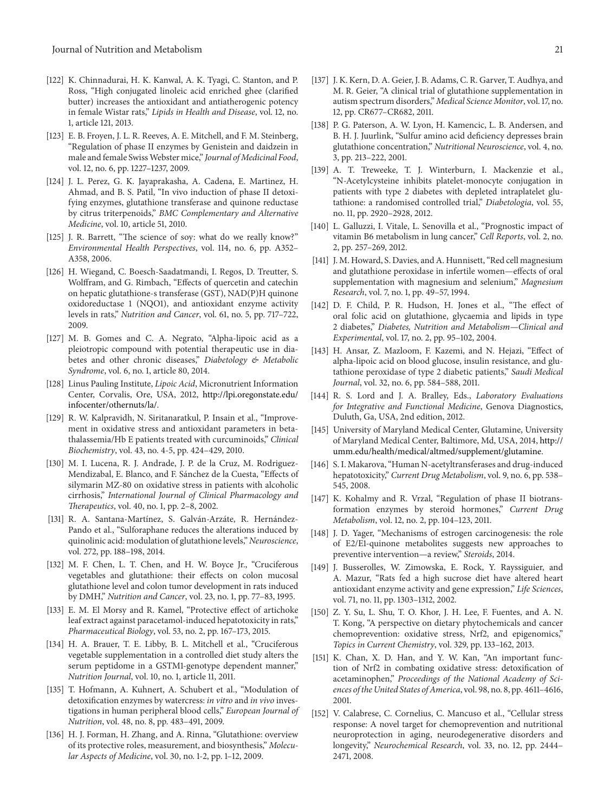- [122] K. Chinnadurai, H. K. Kanwal, A. K. Tyagi, C. Stanton, and P. Ross, "High conjugated linoleic acid enriched ghee (clarified butter) increases the antioxidant and antiatherogenic potency in female Wistar rats," *Lipids in Health and Disease*, vol. 12, no. 1, article 121, 2013.
- [123] E. B. Froyen, J. L. R. Reeves, A. E. Mitchell, and F. M. Steinberg, "Regulation of phase II enzymes by Genistein and daidzein in male and female SwissWebster mice," *Journal of Medicinal Food*, vol. 12, no. 6, pp. 1227–1237, 2009.
- [124] J. L. Perez, G. K. Jayaprakasha, A. Cadena, E. Martinez, H. Ahmad, and B. S. Patil, "In vivo induction of phase II detoxifying enzymes, glutathione transferase and quinone reductase by citrus triterpenoids," *BMC Complementary and Alternative Medicine*, vol. 10, article 51, 2010.
- [125] J. R. Barrett, "The science of soy: what do we really know?" *Environmental Health Perspectives*, vol. 114, no. 6, pp. A352– A358, 2006.
- [126] H. Wiegand, C. Boesch-Saadatmandi, I. Regos, D. Treutter, S. Wolffram, and G. Rimbach, "Effects of quercetin and catechin on hepatic glutathione-s transferase (GST), NAD(P)H quinone oxidoreductase 1 (NQO1), and antioxidant enzyme activity levels in rats," *Nutrition and Cancer*, vol. 61, no. 5, pp. 717–722, 2009.
- [127] M. B. Gomes and C. A. Negrato, "Alpha-lipoic acid as a pleiotropic compound with potential therapeutic use in diabetes and other chronic diseases," *Diabetology & Metabolic Syndrome*, vol. 6, no. 1, article 80, 2014.
- [128] Linus Pauling Institute, *Lipoic Acid*, Micronutrient Information Center, Corvalis, Ore, USA, 2012, http://lpi.oregonstate.edu/ infocenter/othernuts/la/.
- [129] R. W. Kalpravidh, N. Siritanaratkul, P. Insain et al., "Improvement in oxidative stress and antioxidant parameters in betathalassemia/Hb E patients treated with curcuminoids," *Clinical Biochemistry*, vol. 43, no. 4-5, pp. 424–429, 2010.
- [130] M. I. Lucena, R. J. Andrade, J. P. de la Cruz, M. Rodriguez-Mendizabal, E. Blanco, and F. Sánchez de la Cuesta, "Effects of silymarin MZ-80 on oxidative stress in patients with alcoholic cirrhosis," *International Journal of Clinical Pharmacology and Therapeutics*, vol. 40, no. 1, pp. 2–8, 2002.
- [131] R. A. Santana-Martínez, S. Galván-Arzáte, R. Hernández-Pando et al., "Sulforaphane reduces the alterations induced by quinolinic acid: modulation of glutathione levels," *Neuroscience*, vol. 272, pp. 188–198, 2014.
- [132] M. F. Chen, L. T. Chen, and H. W. Boyce Jr., "Cruciferous vegetables and glutathione: their effects on colon mucosal glutathione level and colon tumor development in rats induced by DMH," *Nutrition and Cancer*, vol. 23, no. 1, pp. 77–83, 1995.
- [133] E. M. El Morsy and R. Kamel, "Protective effect of artichoke leaf extract against paracetamol-induced hepatotoxicity in rats," *Pharmaceutical Biology*, vol. 53, no. 2, pp. 167–173, 2015.
- [134] H. A. Brauer, T. E. Libby, B. L. Mitchell et al., "Cruciferous vegetable supplementation in a controlled diet study alters the serum peptidome in a GSTM1-genotype dependent manner," *Nutrition Journal*, vol. 10, no. 1, article 11, 2011.
- [135] T. Hofmann, A. Kuhnert, A. Schubert et al., "Modulation of detoxification enzymes by watercress: *in vitro* and *in vivo* investigations in human peripheral blood cells," *European Journal of Nutrition*, vol. 48, no. 8, pp. 483–491, 2009.
- [136] H. J. Forman, H. Zhang, and A. Rinna, "Glutathione: overview of its protective roles, measurement, and biosynthesis," *Molecular Aspects of Medicine*, vol. 30, no. 1-2, pp. 1–12, 2009.
- [137] J. K. Kern, D. A. Geier, J. B. Adams, C. R. Garver, T. Audhya, and M. R. Geier, "A clinical trial of glutathione supplementation in autism spectrum disorders," *Medical Science Monitor*, vol. 17, no. 12, pp. CR677–CR682, 2011.
- [138] P. G. Paterson, A. W. Lyon, H. Kamencic, L. B. Andersen, and B. H. J. Juurlink, "Sulfur amino acid deficiency depresses brain glutathione concentration," *Nutritional Neuroscience*, vol. 4, no. 3, pp. 213–222, 2001.
- [139] A. T. Treweeke, T. J. Winterburn, I. Mackenzie et al., "N-Acetylcysteine inhibits platelet-monocyte conjugation in patients with type 2 diabetes with depleted intraplatelet glutathione: a randomised controlled trial," *Diabetologia*, vol. 55, no. 11, pp. 2920–2928, 2012.
- [140] L. Galluzzi, I. Vitale, L. Senovilla et al., "Prognostic impact of vitamin B6 metabolism in lung cancer," *Cell Reports*, vol. 2, no. 2, pp. 257–269, 2012.
- [141] J. M. Howard, S. Davies, and A. Hunnisett, "Red cell magnesium and glutathione peroxidase in infertile women—effects of oral supplementation with magnesium and selenium," *Magnesium Research*, vol. 7, no. 1, pp. 49–57, 1994.
- [142] D. F. Child, P. R. Hudson, H. Jones et al., "The effect of oral folic acid on glutathione, glycaemia and lipids in type 2 diabetes," *Diabetes, Nutrition and Metabolism—Clinical and Experimental*, vol. 17, no. 2, pp. 95–102, 2004.
- [143] H. Ansar, Z. Mazloom, F. Kazemi, and N. Hejazi, "Effect of alpha-lipoic acid on blood glucose, insulin resistance, and glutathione peroxidase of type 2 diabetic patients," *Saudi Medical Journal*, vol. 32, no. 6, pp. 584–588, 2011.
- [144] R. S. Lord and J. A. Bralley, Eds., *Laboratory Evaluations for Integrative and Functional Medicine*, Genova Diagnostics, Duluth, Ga, USA, 2nd edition, 2012.
- [145] University of Maryland Medical Center, Glutamine, University of Maryland Medical Center, Baltimore, Md, USA, 2014, http:// umm.edu/health/medical/altmed/supplement/glutamine.
- [146] S. I. Makarova, "Human N-acetyltransferases and drug-induced hepatotoxicity," *Current Drug Metabolism*, vol. 9, no. 6, pp. 538– 545, 2008.
- [147] K. Kohalmy and R. Vrzal, "Regulation of phase II biotransformation enzymes by steroid hormones," *Current Drug Metabolism*, vol. 12, no. 2, pp. 104–123, 2011.
- [148] J. D. Yager, "Mechanisms of estrogen carcinogenesis: the role of E2/E1-quinone metabolites suggests new approaches to preventive intervention—a review," *Steroids*, 2014.
- [149] J. Busserolles, W. Zimowska, E. Rock, Y. Rayssiguier, and A. Mazur, "Rats fed a high sucrose diet have altered heart antioxidant enzyme activity and gene expression," *Life Sciences*, vol. 71, no. 11, pp. 1303–1312, 2002.
- [150] Z. Y. Su, L. Shu, T. O. Khor, J. H. Lee, F. Fuentes, and A. N. T. Kong, "A perspective on dietary phytochemicals and cancer chemoprevention: oxidative stress, Nrf2, and epigenomics," *Topics in Current Chemistry*, vol. 329, pp. 133–162, 2013.
- [151] K. Chan, X. D. Han, and Y. W. Kan, "An important function of Nrf2 in combating oxidative stress: detoxification of acetaminophen," *Proceedings of the National Academy of Sciences of the United States of America*, vol. 98, no. 8, pp. 4611–4616, 2001.
- [152] V. Calabrese, C. Cornelius, C. Mancuso et al., "Cellular stress response: A novel target for chemoprevention and nutritional neuroprotection in aging, neurodegenerative disorders and longevity," *Neurochemical Research*, vol. 33, no. 12, pp. 2444– 2471, 2008.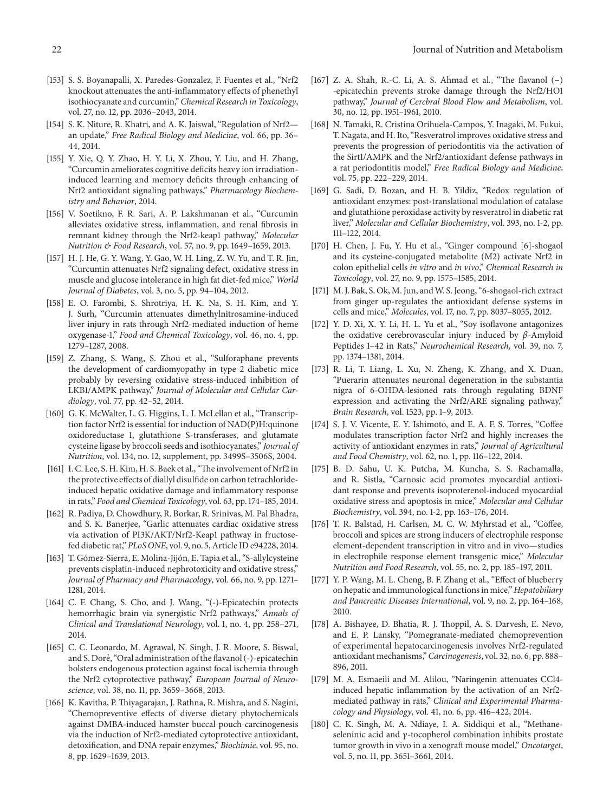- [153] S. S. Boyanapalli, X. Paredes-Gonzalez, F. Fuentes et al., "Nrf2 knockout attenuates the anti-inflammatory effects of phenethyl isothiocyanate and curcumin," *Chemical Research in Toxicology*, vol. 27, no. 12, pp. 2036–2043, 2014.
- [154] S. K. Niture, R. Khatri, and A. K. Jaiswal, "Regulation of Nrf2an update," *Free Radical Biology and Medicine*, vol. 66, pp. 36– 44, 2014.
- [155] Y. Xie, Q. Y. Zhao, H. Y. Li, X. Zhou, Y. Liu, and H. Zhang, "Curcumin ameliorates cognitive deficits heavy ion irradiationinduced learning and memory deficits through enhancing of Nrf2 antioxidant signaling pathways," *Pharmacology Biochemistry and Behavior*, 2014.
- [156] V. Soetikno, F. R. Sari, A. P. Lakshmanan et al., "Curcumin alleviates oxidative stress, inflammation, and renal fibrosis in remnant kidney through the Nrf2-keap1 pathway," *Molecular Nutrition & Food Research*, vol. 57, no. 9, pp. 1649–1659, 2013.
- [157] H. J. He, G. Y. Wang, Y. Gao, W. H. Ling, Z. W. Yu, and T. R. Jin, "Curcumin attenuates Nrf2 signaling defect, oxidative stress in muscle and glucose intolerance in high fat diet-fed mice," *World Journal of Diabetes*, vol. 3, no. 5, pp. 94–104, 2012.
- [158] E. O. Farombi, S. Shrotriya, H. K. Na, S. H. Kim, and Y. J. Surh, "Curcumin attenuates dimethylnitrosamine-induced liver injury in rats through Nrf2-mediated induction of heme oxygenase-1," *Food and Chemical Toxicology*, vol. 46, no. 4, pp. 1279–1287, 2008.
- [159] Z. Zhang, S. Wang, S. Zhou et al., "Sulforaphane prevents the development of cardiomyopathy in type 2 diabetic mice probably by reversing oxidative stress-induced inhibition of LKB1/AMPK pathway," *Journal of Molecular and Cellular Cardiology*, vol. 77, pp. 42–52, 2014.
- [160] G. K. McWalter, L. G. Higgins, L. I. McLellan et al., "Transcription factor Nrf2 is essential for induction of NAD(P)H:quinone oxidoreductase 1, glutathione S-transferases, and glutamate cysteine ligase by broccoli seeds and isothiocyanates," *Journal of Nutrition*, vol. 134, no. 12, supplement, pp. 3499S–3506S, 2004.
- [161] I. C. Lee, S. H. Kim, H. S. Baek et al., "The involvement of Nrf2 in the protective effects of diallyl disulfide on carbon tetrachlorideinduced hepatic oxidative damage and inflammatory response in rats," *Food and Chemical Toxicology*, vol. 63, pp. 174–185, 2014.
- [162] R. Padiya, D. Chowdhury, R. Borkar, R. Srinivas, M. Pal Bhadra, and S. K. Banerjee, "Garlic attenuates cardiac oxidative stress via activation of PI3K/AKT/Nrf2-Keap1 pathway in fructosefed diabetic rat," *PLoS ONE*, vol. 9, no. 5, Article ID e94228, 2014.
- [163] T. Gómez-Sierra, E. Molina-Jijón, E. Tapia et al., "S-allylcysteine prevents cisplatin-induced nephrotoxicity and oxidative stress," *Journal of Pharmacy and Pharmacology*, vol. 66, no. 9, pp. 1271– 1281, 2014.
- [164] C. F. Chang, S. Cho, and J. Wang, "(-)-Epicatechin protects hemorrhagic brain via synergistic Nrf2 pathways," *Annals of Clinical and Translational Neurology*, vol. 1, no. 4, pp. 258–271, 2014.
- [165] C. C. Leonardo, M. Agrawal, N. Singh, J. R. Moore, S. Biswal, and S. Doré, "Oral administration of the flavanol (-)-epicatechin bolsters endogenous protection against focal ischemia through the Nrf2 cytoprotective pathway," *European Journal of Neuroscience*, vol. 38, no. 11, pp. 3659–3668, 2013.
- [166] K. Kavitha, P. Thiyagarajan, J. Rathna, R. Mishra, and S. Nagini, "Chemopreventive effects of diverse dietary phytochemicals against DMBA-induced hamster buccal pouch carcinogenesis via the induction of Nrf2-mediated cytoprotective antioxidant, detoxification, and DNA repair enzymes," *Biochimie*, vol. 95, no. 8, pp. 1629–1639, 2013.
- [167] Z. A. Shah, R.-C. Li, A. S. Ahmad et al., "The flavanol (−) -epicatechin prevents stroke damage through the Nrf2/HO1 pathway," *Journal of Cerebral Blood Flow and Metabolism*, vol. 30, no. 12, pp. 1951–1961, 2010.
- [168] N. Tamaki, R. Cristina Orihuela-Campos, Y. Inagaki, M. Fukui, T. Nagata, and H. Ito, "Resveratrol improves oxidative stress and prevents the progression of periodontitis via the activation of the Sirt1/AMPK and the Nrf2/antioxidant defense pathways in a rat periodontitis model," *Free Radical Biology and Medicine*, vol. 75, pp. 222–229, 2014.
- [169] G. Sadi, D. Bozan, and H. B. Yildiz, "Redox regulation of antioxidant enzymes: post-translational modulation of catalase and glutathione peroxidase activity by resveratrol in diabetic rat liver," *Molecular and Cellular Biochemistry*, vol. 393, no. 1-2, pp. 111–122, 2014.
- [170] H. Chen, J. Fu, Y. Hu et al., "Ginger compound [6]-shogaol and its cysteine-conjugated metabolite (M2) activate Nrf2 in colon epithelial cells *in vitro* and *in vivo*," *Chemical Research in Toxicology*, vol. 27, no. 9, pp. 1575–1585, 2014.
- [171] M. J. Bak, S. Ok, M. Jun, and W. S. Jeong, "6-shogaol-rich extract from ginger up-regulates the antioxidant defense systems in cells and mice," *Molecules*, vol. 17, no. 7, pp. 8037–8055, 2012.
- [172] Y. D. Xi, X. Y. Li, H. L. Yu et al., "Soy isoflavone antagonizes the oxidative cerebrovascular injury induced by  $\beta$ -Amyloid Peptides 1–42 in Rats," *Neurochemical Research*, vol. 39, no. 7, pp. 1374–1381, 2014.
- [173] R. Li, T. Liang, L. Xu, N. Zheng, K. Zhang, and X. Duan, "Puerarin attenuates neuronal degeneration in the substantia nigra of 6-OHDA-lesioned rats through regulating BDNF expression and activating the Nrf2/ARE signaling pathway," *Brain Research*, vol. 1523, pp. 1–9, 2013.
- [174] S. J. V. Vicente, E. Y. Ishimoto, and E. A. F. S. Torres, "Coffee modulates transcription factor Nrf2 and highly increases the activity of antioxidant enzymes in rats," *Journal of Agricultural and Food Chemistry*, vol. 62, no. 1, pp. 116–122, 2014.
- [175] B. D. Sahu, U. K. Putcha, M. Kuncha, S. S. Rachamalla, and R. Sistla, "Carnosic acid promotes myocardial antioxidant response and prevents isoproterenol-induced myocardial oxidative stress and apoptosis in mice," *Molecular and Cellular Biochemistry*, vol. 394, no. 1-2, pp. 163–176, 2014.
- [176] T. R. Balstad, H. Carlsen, M. C. W. Myhrstad et al., "Coffee, broccoli and spices are strong inducers of electrophile response element-dependent transcription in vitro and in vivo—studies in electrophile response element transgenic mice," *Molecular Nutrition and Food Research*, vol. 55, no. 2, pp. 185–197, 2011.
- [177] Y. P. Wang, M. L. Cheng, B. F. Zhang et al., "Effect of blueberry on hepatic and immunological functions in mice," *Hepatobiliary and Pancreatic Diseases International*, vol. 9, no. 2, pp. 164–168, 2010.
- [178] A. Bishayee, D. Bhatia, R. J. Thoppil, A. S. Darvesh, E. Nevo, and E. P. Lansky, "Pomegranate-mediated chemoprevention of experimental hepatocarcinogenesis involves Nrf2-regulated antioxidant mechanisms,"*Carcinogenesis*, vol. 32, no. 6, pp. 888– 896, 2011.
- [179] M. A. Esmaeili and M. Alilou, "Naringenin attenuates CCl4 induced hepatic inflammation by the activation of an Nrf2 mediated pathway in rats," *Clinical and Experimental Pharmacology and Physiology*, vol. 41, no. 6, pp. 416–422, 2014.
- [180] C. K. Singh, M. A. Ndiaye, I. A. Siddiqui et al., "Methaneseleninic acid and  $\gamma$ -tocopherol combination inhibits prostate tumor growth in vivo in a xenograft mouse model," *Oncotarget*, vol. 5, no. 11, pp. 3651–3661, 2014.